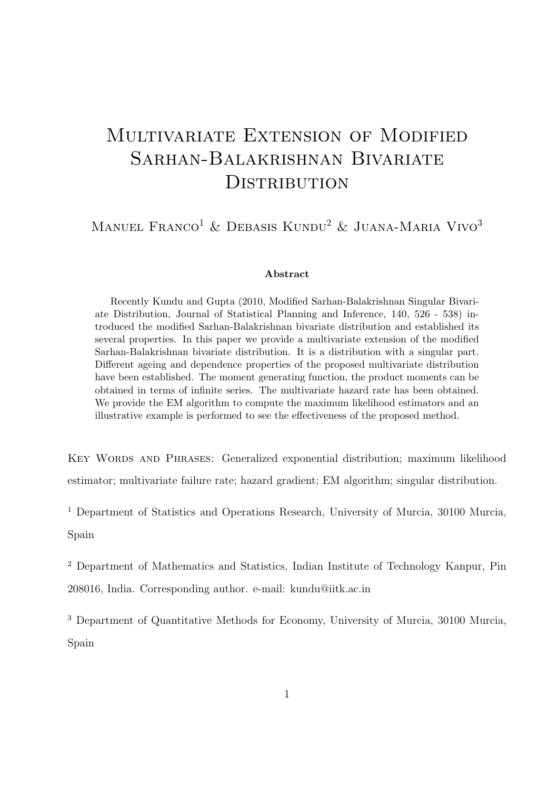# Multivariate Extension of Modified Sarhan-Balakrishnan Bivariate **DISTRIBUTION**

MANUEL FRANCO<sup>1</sup> & DEBASIS KUNDU<sup>2</sup> & JUANA-MARIA VIVO<sup>3</sup>

#### Abstract

Recently Kundu and Gupta (2010, Modified Sarhan-Balakrishnan Singular Bivariate Distribution, Journal of Statistical Planning and Inference, 140, 526 - 538) introduced the modified Sarhan-Balakrishnan bivariate distribution and established its several properties. In this paper we provide a multivariate extension of the modified Sarhan-Balakrishnan bivariate distribution. It is a distribution with a singular part. Different ageing and dependence properties of the proposed multivariate distribution have been established. The moment generating function, the product moments can be obtained in terms of infinite series. The multivariate hazard rate has been obtained. We provide the EM algorithm to compute the maximum likelihood estimators and an illustrative example is performed to see the effectiveness of the proposed method.

Key Words and Phrases: Generalized exponential distribution; maximum likelihood estimator; multivariate failure rate; hazard gradient; EM algorithm; singular distribution.

<sup>1</sup> Department of Statistics and Operations Research, University of Murcia, 30100 Murcia, Spain

<sup>2</sup> Department of Mathematics and Statistics, Indian Institute of Technology Kanpur, Pin 208016, India. Corresponding author. e-mail: kundu@iitk.ac.in

<sup>3</sup> Department of Quantitative Methods for Economy, University of Murcia, 30100 Murcia, Spain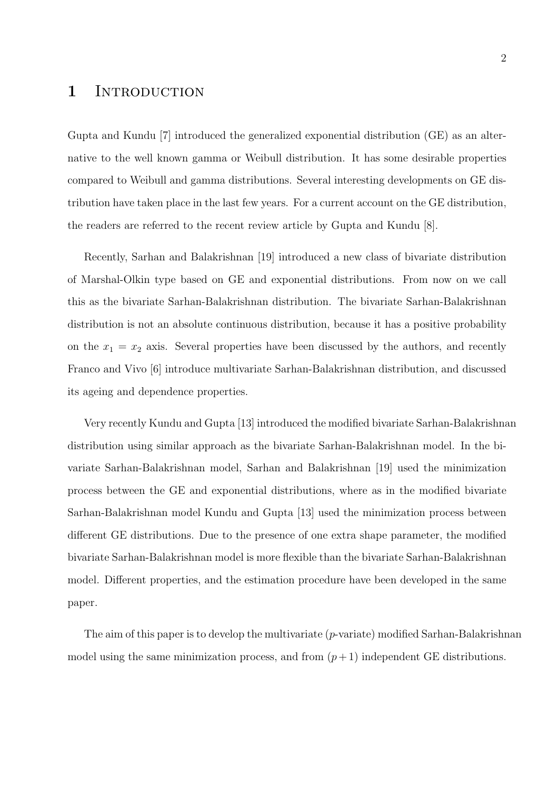### 1 INTRODUCTION

Gupta and Kundu [7] introduced the generalized exponential distribution (GE) as an alternative to the well known gamma or Weibull distribution. It has some desirable properties compared to Weibull and gamma distributions. Several interesting developments on GE distribution have taken place in the last few years. For a current account on the GE distribution, the readers are referred to the recent review article by Gupta and Kundu [8].

Recently, Sarhan and Balakrishnan [19] introduced a new class of bivariate distribution of Marshal-Olkin type based on GE and exponential distributions. From now on we call this as the bivariate Sarhan-Balakrishnan distribution. The bivariate Sarhan-Balakrishnan distribution is not an absolute continuous distribution, because it has a positive probability on the  $x_1 = x_2$  axis. Several properties have been discussed by the authors, and recently Franco and Vivo [6] introduce multivariate Sarhan-Balakrishnan distribution, and discussed its ageing and dependence properties.

Very recently Kundu and Gupta [13] introduced the modified bivariate Sarhan-Balakrishnan distribution using similar approach as the bivariate Sarhan-Balakrishnan model. In the bivariate Sarhan-Balakrishnan model, Sarhan and Balakrishnan [19] used the minimization process between the GE and exponential distributions, where as in the modified bivariate Sarhan-Balakrishnan model Kundu and Gupta [13] used the minimization process between different GE distributions. Due to the presence of one extra shape parameter, the modified bivariate Sarhan-Balakrishnan model is more flexible than the bivariate Sarhan-Balakrishnan model. Different properties, and the estimation procedure have been developed in the same paper.

The aim of this paper is to develop the multivariate  $(p$ -variate) modified Sarhan-Balakrishnan model using the same minimization process, and from  $(p+1)$  independent GE distributions.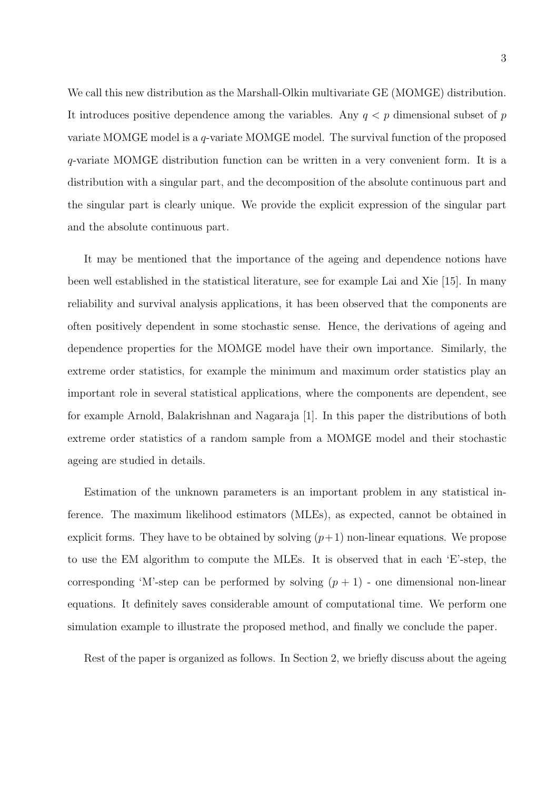We call this new distribution as the Marshall-Olkin multivariate GE (MOMGE) distribution. It introduces positive dependence among the variables. Any  $q < p$  dimensional subset of p variate MOMGE model is a q-variate MOMGE model. The survival function of the proposed q-variate MOMGE distribution function can be written in a very convenient form. It is a distribution with a singular part, and the decomposition of the absolute continuous part and the singular part is clearly unique. We provide the explicit expression of the singular part and the absolute continuous part.

It may be mentioned that the importance of the ageing and dependence notions have been well established in the statistical literature, see for example Lai and Xie [15]. In many reliability and survival analysis applications, it has been observed that the components are often positively dependent in some stochastic sense. Hence, the derivations of ageing and dependence properties for the MOMGE model have their own importance. Similarly, the extreme order statistics, for example the minimum and maximum order statistics play an important role in several statistical applications, where the components are dependent, see for example Arnold, Balakrishnan and Nagaraja [1]. In this paper the distributions of both extreme order statistics of a random sample from a MOMGE model and their stochastic ageing are studied in details.

Estimation of the unknown parameters is an important problem in any statistical inference. The maximum likelihood estimators (MLEs), as expected, cannot be obtained in explicit forms. They have to be obtained by solving  $(p+1)$  non-linear equations. We propose to use the EM algorithm to compute the MLEs. It is observed that in each 'E'-step, the corresponding 'M'-step can be performed by solving  $(p + 1)$  - one dimensional non-linear equations. It definitely saves considerable amount of computational time. We perform one simulation example to illustrate the proposed method, and finally we conclude the paper.

Rest of the paper is organized as follows. In Section 2, we briefly discuss about the ageing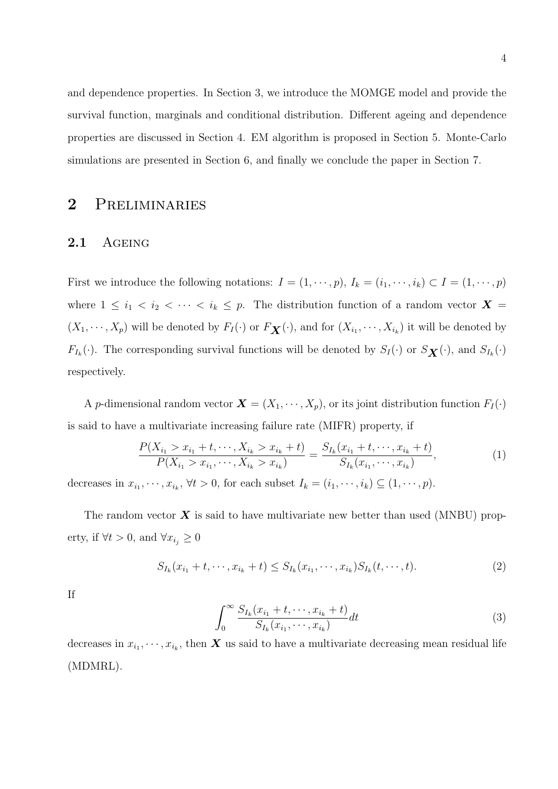and dependence properties. In Section 3, we introduce the MOMGE model and provide the survival function, marginals and conditional distribution. Different ageing and dependence properties are discussed in Section 4. EM algorithm is proposed in Section 5. Monte-Carlo simulations are presented in Section 6, and finally we conclude the paper in Section 7.

# 2 Preliminaries

#### 2.1 AGEING

First we introduce the following notations:  $I = (1, \dots, p)$ ,  $I_k = (i_1, \dots, i_k) \subset I = (1, \dots, p)$ where  $1 \leq i_1 < i_2 < \cdots < i_k \leq p$ . The distribution function of a random vector  $\boldsymbol{X} =$  $(X_1, \dots, X_p)$  will be denoted by  $F_I(\cdot)$  or  $F_{\mathbf{X}}(\cdot)$ , and for  $(X_{i_1}, \dots, X_{i_k})$  it will be denoted by  $F_{I_k}(\cdot)$ . The corresponding survival functions will be denoted by  $S_I(\cdot)$  or  $S_{\mathbf{X}}(\cdot)$ , and  $S_{I_k}(\cdot)$ respectively.

A p-dimensional random vector  $\mathbf{X} = (X_1, \dots, X_p)$ , or its joint distribution function  $F_I(\cdot)$ is said to have a multivariate increasing failure rate (MIFR) property, if

$$
\frac{P(X_{i_1} > x_{i_1} + t, \cdots, X_{i_k} > x_{i_k} + t)}{P(X_{i_1} > x_{i_1}, \cdots, X_{i_k} > x_{i_k})} = \frac{S_{I_k}(x_{i_1} + t, \cdots, x_{i_k} + t)}{S_{I_k}(x_{i_1}, \cdots, x_{i_k})},
$$
(1)

decreases in  $x_{i_1}, \dots, x_{i_k}$ ,  $\forall t > 0$ , for each subset  $I_k = (i_1, \dots, i_k) \subseteq (1, \dots, p)$ .

The random vector  $\boldsymbol{X}$  is said to have multivariate new better than used (MNBU) property, if  $\forall t > 0$ , and  $\forall x_{i_j} \geq 0$ 

$$
S_{I_k}(x_{i_1} + t, \cdots, x_{i_k} + t) \le S_{I_k}(x_{i_1}, \cdots, x_{i_k}) S_{I_k}(t, \cdots, t).
$$
 (2)

If

$$
\int_{0}^{\infty} \frac{S_{I_k}(x_{i_1} + t, \cdots, x_{i_k} + t)}{S_{I_k}(x_{i_1}, \cdots, x_{i_k})} dt
$$
\n(3)

decreases in  $x_{i_1}, \dots, x_{i_k}$ , then X us said to have a multivariate decreasing mean residual life (MDMRL).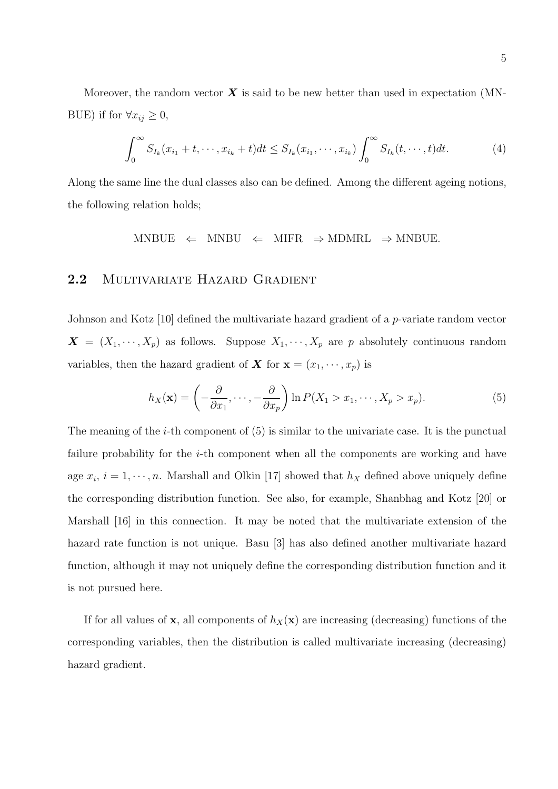Moreover, the random vector  $\boldsymbol{X}$  is said to be new better than used in expectation (MN-BUE) if for  $\forall x_{ij} \geq 0$ ,

$$
\int_0^\infty S_{I_k}(x_{i_1} + t, \cdots, x_{i_k} + t)dt \le S_{I_k}(x_{i_1}, \cdots, x_{i_k}) \int_0^\infty S_{I_k}(t, \cdots, t)dt.
$$
 (4)

Along the same line the dual classes also can be defined. Among the different ageing notions, the following relation holds;

 $MNBUE \Leftrightarrow MNBU \Leftrightarrow MIFR \Rightarrow MDMRL \Rightarrow MNBUE.$ 

#### 2.2 MULTIVARIATE HAZARD GRADIENT

Johnson and Kotz [10] defined the multivariate hazard gradient of a *p*-variate random vector  $\boldsymbol{X} = (X_1, \dots, X_p)$  as follows. Suppose  $X_1, \dots, X_p$  are p absolutely continuous random variables, then the hazard gradient of **X** for  $\mathbf{x} = (x_1, \dots, x_p)$  is

$$
h_X(\mathbf{x}) = \left(-\frac{\partial}{\partial x_1}, \dots, -\frac{\partial}{\partial x_p}\right) \ln P(X_1 > x_1, \dots, X_p > x_p). \tag{5}
$$

The meaning of the  $i$ -th component of  $(5)$  is similar to the univariate case. It is the punctual failure probability for the  $i$ -th component when all the components are working and have age  $x_i$ ,  $i = 1, \dots, n$ . Marshall and Olkin [17] showed that  $h_X$  defined above uniquely define the corresponding distribution function. See also, for example, Shanbhag and Kotz [20] or Marshall [16] in this connection. It may be noted that the multivariate extension of the hazard rate function is not unique. Basu [3] has also defined another multivariate hazard function, although it may not uniquely define the corresponding distribution function and it is not pursued here.

If for all values of **x**, all components of  $h_X(\mathbf{x})$  are increasing (decreasing) functions of the corresponding variables, then the distribution is called multivariate increasing (decreasing) hazard gradient.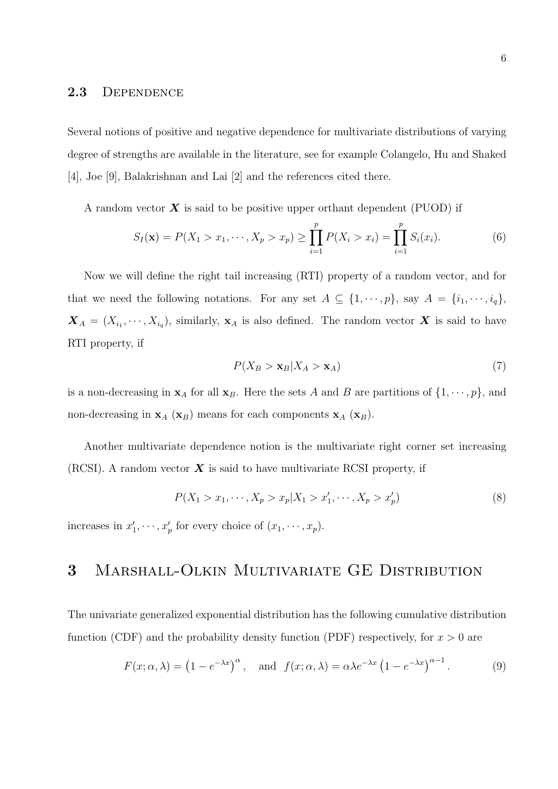#### 2.3 Dependence

Several notions of positive and negative dependence for multivariate distributions of varying degree of strengths are available in the literature, see for example Colangelo, Hu and Shaked [4], Joe [9], Balakrishnan and Lai [2] and the references cited there.

A random vector  $\boldsymbol{X}$  is said to be positive upper orthant dependent (PUOD) if

$$
S_I(\mathbf{x}) = P(X_1 > x_1, \cdots, X_p > x_p) \ge \prod_{i=1}^p P(X_i > x_i) = \prod_{i=1}^p S_i(x_i).
$$
 (6)

Now we will define the right tail increasing (RTI) property of a random vector, and for that we need the following notations. For any set  $A \subseteq \{1, \dots, p\}$ , say  $A = \{i_1, \dots, i_q\}$ ,  $\boldsymbol{X}_A = (X_{i_1}, \dots, X_{i_q}),$  similarly,  $\boldsymbol{\mathbf{x}}_A$  is also defined. The random vector  $\boldsymbol{X}$  is said to have RTI property, if

$$
P(X_B > \mathbf{x}_B | X_A > \mathbf{x}_A)
$$
\n<sup>(7)</sup>

is a non-decreasing in  $x_A$  for all  $x_B$ . Here the sets A and B are partitions of  $\{1, \dots, p\}$ , and non-decreasing in  $\mathbf{x}_A$  ( $\mathbf{x}_B$ ) means for each components  $\mathbf{x}_A$  ( $\mathbf{x}_B$ ).

Another multivariate dependence notion is the multivariate right corner set increasing (RCSI). A random vector  $\boldsymbol{X}$  is said to have multivariate RCSI property, if

$$
P(X_1 > x_1, \cdots, X_p > x_p | X_1 > x'_1, \cdots, X_p > x'_p)
$$
\n(8)

increases in  $x'_1, \dots, x'_p$  for every choice of  $(x_1, \dots, x_p)$ .

## 3 Marshall-Olkin Multivariate GE Distribution

The univariate generalized exponential distribution has the following cumulative distribution function (CDF) and the probability density function (PDF) respectively, for  $x > 0$  are

$$
F(x; \alpha, \lambda) = (1 - e^{-\lambda x})^{\alpha}, \text{ and } f(x; \alpha, \lambda) = \alpha \lambda e^{-\lambda x} (1 - e^{-\lambda x})^{\alpha - 1}.
$$
 (9)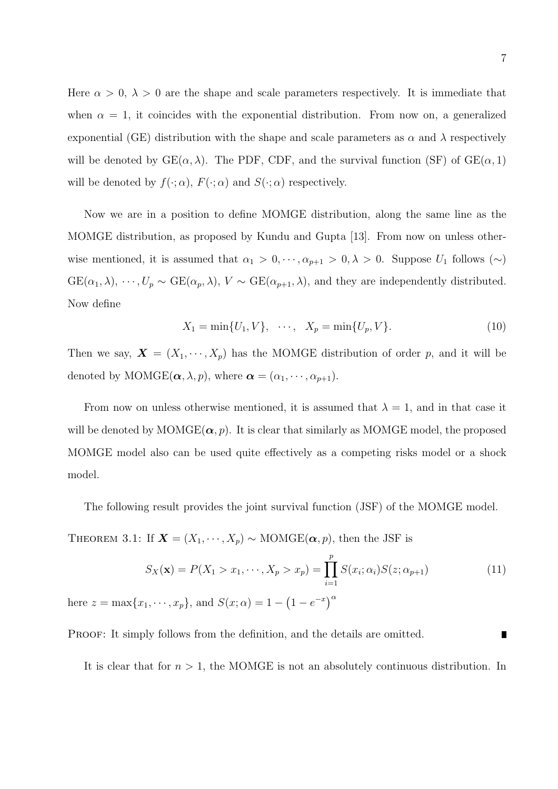Here  $\alpha > 0$ ,  $\lambda > 0$  are the shape and scale parameters respectively. It is immediate that when  $\alpha = 1$ , it coincides with the exponential distribution. From now on, a generalized exponential (GE) distribution with the shape and scale parameters as  $\alpha$  and  $\lambda$  respectively will be denoted by  $GE(\alpha, \lambda)$ . The PDF, CDF, and the survival function (SF) of  $GE(\alpha, 1)$ will be denoted by  $f(\cdot; \alpha)$ ,  $F(\cdot; \alpha)$  and  $S(\cdot; \alpha)$  respectively.

Now we are in a position to define MOMGE distribution, along the same line as the MOMGE distribution, as proposed by Kundu and Gupta [13]. From now on unless otherwise mentioned, it is assumed that  $\alpha_1 > 0, \dots, \alpha_{p+1} > 0, \lambda > 0$ . Suppose  $U_1$  follows  $(\sim)$  $GE(\alpha_1, \lambda), \cdots, U_p \sim GE(\alpha_p, \lambda), V \sim GE(\alpha_{p+1}, \lambda)$ , and they are independently distributed. Now define

$$
X_1 = \min\{U_1, V\}, \quad \cdots, \quad X_p = \min\{U_p, V\}.
$$
 (10)

Then we say,  $\mathbf{X} = (X_1, \dots, X_p)$  has the MOMGE distribution of order p, and it will be denoted by MOMGE( $\alpha$ ,  $\lambda$ ,  $p$ ), where  $\alpha = (\alpha_1, \dots, \alpha_{p+1})$ .

From now on unless otherwise mentioned, it is assumed that  $\lambda = 1$ , and in that case it will be denoted by  $MOMGE(\alpha, p)$ . It is clear that similarly as  $MOMGE$  model, the proposed MOMGE model also can be used quite effectively as a competing risks model or a shock model.

The following result provides the joint survival function (JSF) of the MOMGE model.

THEOREM 3.1: If  $\mathbf{X} = (X_1, \dots, X_p) \sim \text{MOMGE}(\alpha, p)$ , then the JSF is

$$
S_X(\mathbf{x}) = P(X_1 > x_1, \cdots, X_p > x_p) = \prod_{i=1}^p S(x_i; \alpha_i) S(z; \alpha_{p+1})
$$
\n(11)  
\nhere  $z = \max\{x_1, \cdots, x_p\}$ , and  $S(x; \alpha) = 1 - (1 - e^{-x})^{\alpha}$ 

PROOF: It simply follows from the definition, and the details are omitted.

It is clear that for  $n > 1$ , the MOMGE is not an absolutely continuous distribution. In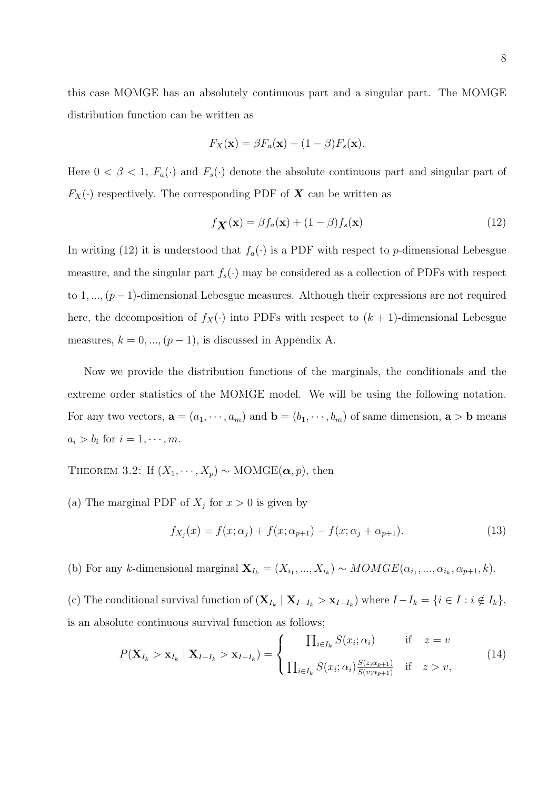this case MOMGE has an absolutely continuous part and a singular part. The MOMGE distribution function can be written as

$$
F_X(\mathbf{x}) = \beta F_a(\mathbf{x}) + (1 - \beta) F_s(\mathbf{x}).
$$

Here  $0 < \beta < 1$ ,  $F_a(\cdot)$  and  $F_s(\cdot)$  denote the absolute continuous part and singular part of  $F_X(\cdot)$  respectively. The corresponding PDF of  $\boldsymbol{X}$  can be written as

$$
f_{\mathbf{X}}(\mathbf{x}) = \beta f_a(\mathbf{x}) + (1 - \beta) f_s(\mathbf{x})
$$
\n(12)

In writing (12) it is understood that  $f_a(\cdot)$  is a PDF with respect to p-dimensional Lebesgue measure, and the singular part  $f_s(\cdot)$  may be considered as a collection of PDFs with respect to 1, ...,  $(p-1)$ -dimensional Lebesgue measures. Although their expressions are not required here, the decomposition of  $f_X(\cdot)$  into PDFs with respect to  $(k + 1)$ -dimensional Lebesgue measures,  $k = 0, ..., (p - 1)$ , is discussed in Appendix A.

Now we provide the distribution functions of the marginals, the conditionals and the extreme order statistics of the MOMGE model. We will be using the following notation. For any two vectors,  $\mathbf{a} = (a_1, \dots, a_m)$  and  $\mathbf{b} = (b_1, \dots, b_m)$  of same dimension,  $\mathbf{a} > \mathbf{b}$  means  $a_i > b_i$  for  $i = 1, \dots, m$ .

THEOREM 3.2: If  $(X_1, \dots, X_p) \sim \text{MOMGE}(\alpha, p)$ , then

(a) The marginal PDF of  $X_j$  for  $x > 0$  is given by

$$
f_{X_j}(x) = f(x; \alpha_j) + f(x; \alpha_{p+1}) - f(x; \alpha_j + \alpha_{p+1}).
$$
\n(13)

(b) For any k-dimensional marginal  $\mathbf{X}_{I_k} = (X_{i_1},...,X_{i_k}) \sim MOMGE(\alpha_{i_1},...,\alpha_{i_k},\alpha_{p+1},k).$ 

(c) The conditional survival function of  $(\mathbf{X}_{I_k} | \mathbf{X}_{I-I_k} > \mathbf{x}_{I-I_k})$  where  $I-I_k = \{i \in I : i \notin I_k\},\$ is an absolute continuous survival function as follows;

$$
P(\mathbf{X}_{I_k} > \mathbf{x}_{I_k} \mid \mathbf{X}_{I-I_k} > \mathbf{x}_{I-I_k}) = \begin{cases} \prod_{i \in I_k} S(x_i; \alpha_i) & \text{if } z = v \\ \prod_{i \in I_k} S(x_i; \alpha_i) \frac{S(z; \alpha_{p+1})}{S(v; \alpha_{p+1})} & \text{if } z > v, \end{cases} \tag{14}
$$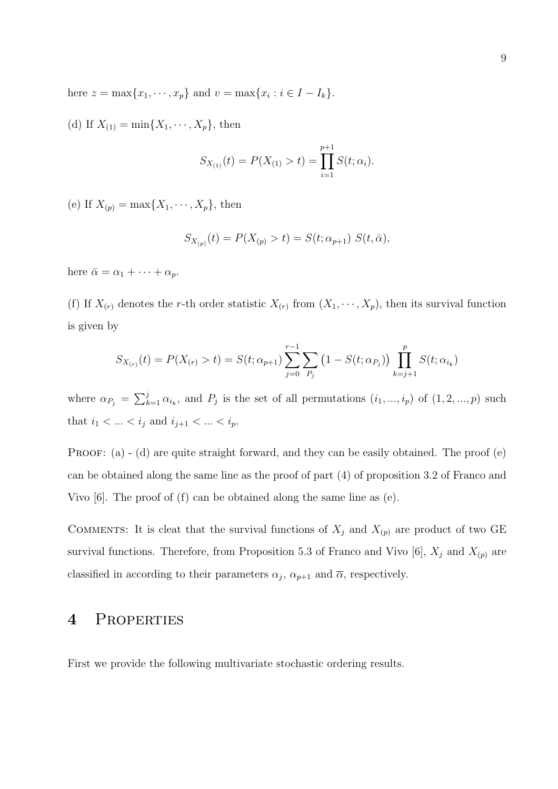here  $z = \max\{x_1, \dots, x_p\}$  and  $v = \max\{x_i : i \in I - I_k\}.$ 

(d) If  $X_{(1)} = \min\{X_1, \dots, X_p\}$ , then

$$
S_{X_{(1)}}(t) = P(X_{(1)} > t) = \prod_{i=1}^{p+1} S(t; \alpha_i).
$$

(e) If  $X_{(p)} = \max\{X_1, \dots, X_p\}$ , then

$$
S_{X_{(p)}}(t) = P(X_{(p)} > t) = S(t; \alpha_{p+1}) S(t, \bar{\alpha}),
$$

here  $\bar{\alpha} = \alpha_1 + \cdots + \alpha_p$ .

(f) If  $X_{(r)}$  denotes the r-th order statistic  $X_{(r)}$  from  $(X_1, \dots, X_p)$ , then its survival function is given by

$$
S_{X_{(r)}}(t) = P(X_{(r)} > t) = S(t; \alpha_{p+1}) \sum_{j=0}^{r-1} \sum_{P_j} (1 - S(t; \alpha_{P_j})) \prod_{k=j+1}^{p} S(t; \alpha_{i_k})
$$

where  $\alpha_{P_j} = \sum_{k=1}^j \alpha_{i_k}$ , and  $P_j$  is the set of all permutations  $(i_1, ..., i_p)$  of  $(1, 2, ..., p)$  such that  $i_1 < ... < i_j$  and  $i_{j+1} < ... < i_p$ .

**PROOF:** (a)  $\cdot$  (d) are quite straight forward, and they can be easily obtained. The proof (e) can be obtained along the same line as the proof of part (4) of proposition 3.2 of Franco and Vivo [6]. The proof of (f) can be obtained along the same line as (e).

COMMENTS: It is cleat that the survival functions of  $X_j$  and  $X_{(p)}$  are product of two GE survival functions. Therefore, from Proposition 5.3 of Franco and Vivo [6],  $X_j$  and  $X_{(p)}$  are classified in according to their parameters  $\alpha_j$ ,  $\alpha_{p+1}$  and  $\overline{\alpha}$ , respectively.

# 4 Properties

First we provide the following multivariate stochastic ordering results.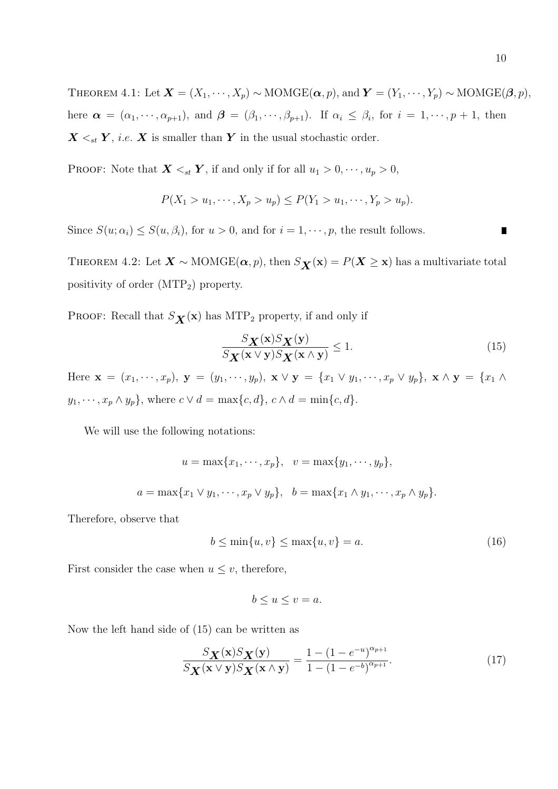10

THEOREM 4.1: Let  $\mathbf{X} = (X_1, \dots, X_p) \sim \text{MOMGE}(\boldsymbol{\alpha}, p)$ , and  $\mathbf{Y} = (Y_1, \dots, Y_p) \sim \text{MOMGE}(\boldsymbol{\beta}, p)$ , here  $\boldsymbol{\alpha} = (\alpha_1, \dots, \alpha_{p+1}),$  and  $\boldsymbol{\beta} = (\beta_1, \dots, \beta_{p+1}).$  If  $\alpha_i \leq \beta_i$ , for  $i = 1, \dots, p+1$ , then  $X \leq_{st} Y$ , *i.e.* X is smaller than Y in the usual stochastic order.

PROOF: Note that  $\mathbf{X} \leq_{st} \mathbf{Y}$ , if and only if for all  $u_1 > 0, \dots, u_p > 0$ ,

$$
P(X_1 > u_1, \cdots, X_p > u_p) \le P(Y_1 > u_1, \cdots, Y_p > u_p).
$$

Since  $S(u; \alpha_i) \leq S(u, \beta_i)$ , for  $u > 0$ , and for  $i = 1, \dots, p$ , the result follows.

THEOREM 4.2: Let  $\mathbf{X} \sim \text{MOMGE}(\alpha, p)$ , then  $S_{\mathbf{X}}(\mathbf{x}) = P(\mathbf{X} \geq \mathbf{x})$  has a multivariate total positivity of order (MTP2) property.

PROOF: Recall that  $S_{\mathbf{X}}(\mathbf{x})$  has MTP<sub>2</sub> property, if and only if

$$
\frac{S_{\mathbf{X}}(\mathbf{x})S_{\mathbf{X}}(\mathbf{y})}{S_{\mathbf{X}}(\mathbf{x} \vee \mathbf{y})S_{\mathbf{X}}(\mathbf{x} \wedge \mathbf{y})} \le 1.
$$
\n(15)

Here  $\mathbf{x} = (x_1, \dots, x_p), \mathbf{y} = (y_1, \dots, y_p), \mathbf{x} \vee \mathbf{y} = \{x_1 \vee y_1, \dots, x_p \vee y_p\}, \mathbf{x} \wedge \mathbf{y} = \{x_1 \wedge y_1, \dots, x_p \vee y_p\}, \mathbf{x} \wedge \mathbf{y} = \{x_1 \wedge y_1, \dots, x_p \wedge y_p\}$  $y_1, \dots, x_p \wedge y_p$ , where  $c \vee d = \max\{c, d\}$ ,  $c \wedge d = \min\{c, d\}$ .

We will use the following notations:

$$
u = \max\{x_1, \dots, x_p\}, \quad v = \max\{y_1, \dots, y_p\},
$$
  

$$
a = \max\{x_1 \vee y_1, \dots, x_p \vee y_p\}, \quad b = \max\{x_1 \wedge y_1, \dots, x_p \wedge y_p\}.
$$

Therefore, observe that

$$
b \le \min\{u, v\} \le \max\{u, v\} = a. \tag{16}
$$

First consider the case when  $u \leq v$ , therefore,

$$
b \le u \le v = a.
$$

Now the left hand side of (15) can be written as

$$
\frac{S_{\mathbf{X}}(\mathbf{x})S_{\mathbf{X}}(\mathbf{y})}{S_{\mathbf{X}}(\mathbf{x} \vee \mathbf{y})S_{\mathbf{X}}(\mathbf{x} \wedge \mathbf{y})} = \frac{1 - (1 - e^{-u})^{\alpha_{p+1}}}{1 - (1 - e^{-b})^{\alpha_{p+1}}}.
$$
\n(17)

 $\blacksquare$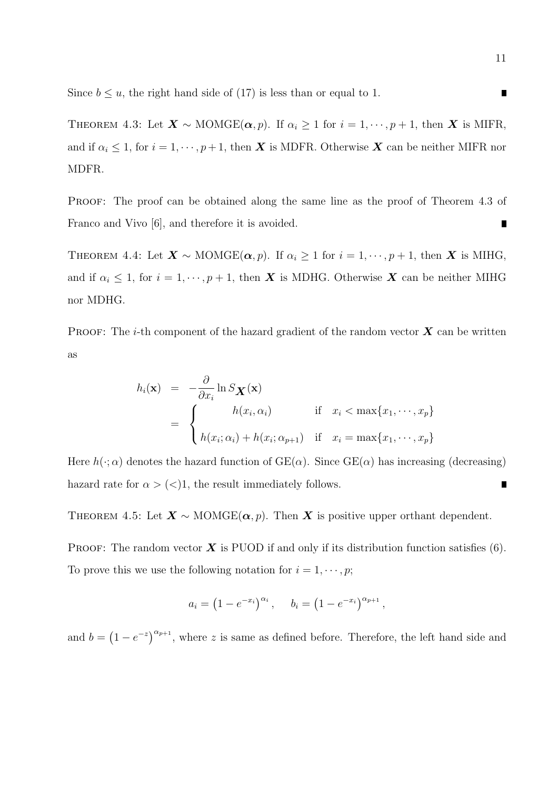Since  $b \le u$ , the right hand side of (17) is less than or equal to 1.

THEOREM 4.3: Let  $\mathbf{X} \sim \text{MOMGE}(\boldsymbol{\alpha}, p)$ . If  $\alpha_i \geq 1$  for  $i = 1, \dots, p + 1$ , then  $\mathbf{X}$  is MIFR, and if  $\alpha_i \leq 1$ , for  $i = 1, \dots, p+1$ , then **X** is MDFR. Otherwise **X** can be neither MIFR nor MDFR.

PROOF: The proof can be obtained along the same line as the proof of Theorem 4.3 of Franco and Vivo [6], and therefore it is avoided.  $\blacksquare$ 

THEOREM 4.4: Let  $\mathbf{X} \sim \text{MOMGE}(\alpha, p)$ . If  $\alpha_i \geq 1$  for  $i = 1, \dots, p + 1$ , then  $\mathbf{X}$  is MIHG, and if  $\alpha_i \leq 1$ , for  $i = 1, \dots, p + 1$ , then **X** is MDHG. Otherwise **X** can be neither MIHG nor MDHG.

**PROOF:** The *i*-th component of the hazard gradient of the random vector  $\boldsymbol{X}$  can be written as

$$
h_i(\mathbf{x}) = -\frac{\partial}{\partial x_i} \ln S_{\mathbf{X}}(\mathbf{x})
$$
  
= 
$$
\begin{cases} h(x_i, \alpha_i) & \text{if } x_i < \max\{x_1, \cdots, x_p\} \\ h(x_i; \alpha_i) + h(x_i; \alpha_{p+1}) & \text{if } x_i = \max\{x_1, \cdots, x_p\} \end{cases}
$$

Here  $h(\cdot; \alpha)$  denotes the hazard function of  $GE(\alpha)$ . Since  $GE(\alpha)$  has increasing (decreasing) hazard rate for  $\alpha > \langle \langle \rangle$ 1, the result immediately follows. ∎

THEOREM 4.5: Let  $X \sim \text{MOMGE}(\alpha, p)$ . Then X is positive upper orthant dependent.

**PROOF:** The random vector  $\boldsymbol{X}$  is PUOD if and only if its distribution function satisfies (6). To prove this we use the following notation for  $i = 1, \dots, p$ ;

$$
a_i = (1 - e^{-x_i})^{\alpha_i}, \quad b_i = (1 - e^{-x_i})^{\alpha_{p+1}},
$$

and  $b = (1 - e^{-z})^{\alpha_{p+1}}$ , where z is same as defined before. Therefore, the left hand side and

 $\blacksquare$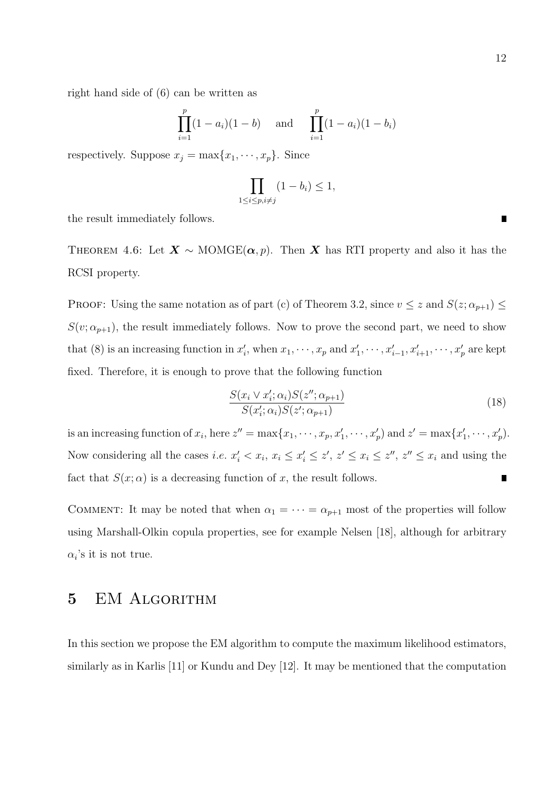right hand side of (6) can be written as

$$
\prod_{i=1}^{p} (1 - a_i)(1 - b) \quad \text{and} \quad \prod_{i=1}^{p} (1 - a_i)(1 - b_i)
$$

respectively. Suppose  $x_j = \max\{x_1, \dots, x_p\}$ . Since

$$
\prod_{1 \le i \le p, i \ne j} (1 - b_i) \le 1,
$$

the result immediately follows.

THEOREM 4.6: Let  $X \sim \text{MOMGE}(\alpha, p)$ . Then X has RTI property and also it has the RCSI property.

PROOF: Using the same notation as of part (c) of Theorem 3.2, since  $v \leq z$  and  $S(z; \alpha_{p+1}) \leq$  $S(v; \alpha_{p+1})$ , the result immediately follows. Now to prove the second part, we need to show that (8) is an increasing function in  $x'_i$ , when  $x_1, \dots, x_p$  and  $x'_1, \dots, x'_{i-1}, x'_{i+1}, \dots, x'_p$  are kept fixed. Therefore, it is enough to prove that the following function

$$
\frac{S(x_i \vee x_i'; \alpha_i) S(z''; \alpha_{p+1})}{S(x_i'; \alpha_i) S(z'; \alpha_{p+1})}
$$
\n(18)

is an increasing function of  $x_i$ , here  $z'' = \max\{x_1, \dots, x_p, x'_1, \dots, x'_p\}$  and  $z' = \max\{x'_1, \dots, x'_p\}$ . Now considering all the cases *i.e.*  $x'_i < x_i$ ,  $x_i \leq x'_i \leq z'$ ,  $z' \leq x_i \leq z''$ ,  $z'' \leq x_i$  and using the fact that  $S(x; \alpha)$  is a decreasing function of x, the result follows.

COMMENT: It may be noted that when  $\alpha_1 = \cdots = \alpha_{p+1}$  most of the properties will follow using Marshall-Olkin copula properties, see for example Nelsen [18], although for arbitrary  $\alpha_i$ 's it is not true.

### 5 EM Algorithm

In this section we propose the EM algorithm to compute the maximum likelihood estimators, similarly as in Karlis [11] or Kundu and Dey [12]. It may be mentioned that the computation

 $\blacksquare$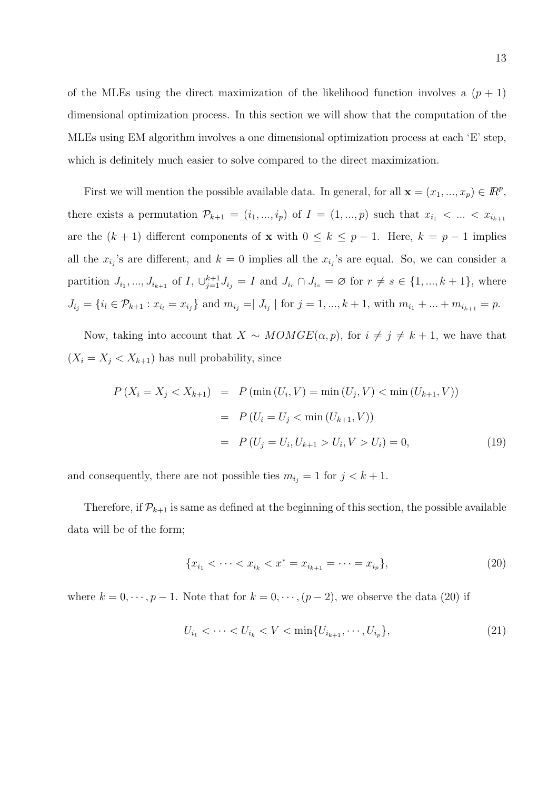of the MLEs using the direct maximization of the likelihood function involves a  $(p + 1)$ dimensional optimization process. In this section we will show that the computation of the MLEs using EM algorithm involves a one dimensional optimization process at each 'E' step, which is definitely much easier to solve compared to the direct maximization.

First we will mention the possible available data. In general, for all  $\mathbf{x} = (x_1, ..., x_p) \in \mathbb{R}^p$ , there exists a permutation  $\mathcal{P}_{k+1} = (i_1, ..., i_p)$  of  $I = (1, ..., p)$  such that  $x_{i_1} < ... < x_{i_{k+1}}$ are the  $(k + 1)$  different components of x with  $0 \le k \le p - 1$ . Here,  $k = p - 1$  implies all the  $x_{i_j}$ 's are different, and  $k=0$  implies all the  $x_{i_j}$ 's are equal. So, we can consider a partition  $J_{i_1},..., J_{i_{k+1}}$  of  $I, \bigcup_{j=1}^{k+1} J_{i_j} = I$  and  $J_{i_r} \cap J_{i_s} = \emptyset$  for  $r \neq s \in \{1, ..., k+1\}$ , where  $J_{i_j} = \{i_l \in \mathcal{P}_{k+1} : x_{i_l} = x_{i_j}\}\$ and  $m_{i_j} = \mid J_{i_j} \mid \text{for } j = 1, ..., k+1$ , with  $m_{i_1} + ... + m_{i_{k+1}} = p$ .

Now, taking into account that  $X \sim MOMGE(\alpha, p)$ , for  $i \neq j \neq k+1$ , we have that  $(X_i = X_j < X_{k+1})$  has null probability, since

$$
P(X_i = X_j < X_{k+1}) = P(\min(U_i, V) = \min(U_j, V) < \min(U_{k+1}, V))
$$
\n
$$
= P(U_i = U_j < \min(U_{k+1}, V))
$$
\n
$$
= P(U_j = U_i, U_{k+1} > U_i, V > U_i) = 0,\tag{19}
$$

and consequently, there are not possible ties  $m_{i_j} = 1$  for  $j < k + 1$ .

Therefore, if  $\mathcal{P}_{k+1}$  is same as defined at the beginning of this section, the possible available data will be of the form;

$$
\{x_{i_1} < \cdots < x_{i_k} < x^* = x_{i_{k+1}} = \cdots = x_{i_p}\},\tag{20}
$$

where  $k = 0, \dots, p - 1$ . Note that for  $k = 0, \dots, (p - 2)$ , we observe the data (20) if

$$
U_{i_1} < \cdots < U_{i_k} < V < \min\{U_{i_{k+1}}, \cdots, U_{i_p}\},\tag{21}
$$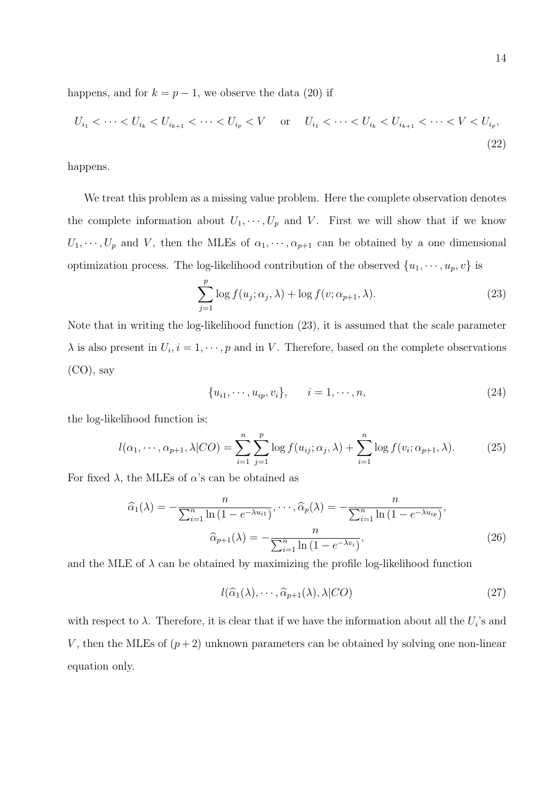happens, and for  $k = p - 1$ , we observe the data (20) if

$$
U_{i_1} < \cdots < U_{i_k} < U_{i_{k+1}} < \cdots < U_{i_p} < V \quad \text{or} \quad U_{i_1} < \cdots < U_{i_k} < U_{i_{k+1}} < \cdots < V < U_{i_p},\tag{22}
$$

happens.

We treat this problem as a missing value problem. Here the complete observation denotes the complete information about  $U_1, \dots, U_p$  and V. First we will show that if we know  $U_1, \dots, U_p$  and V, then the MLEs of  $\alpha_1, \dots, \alpha_{p+1}$  can be obtained by a one dimensional optimization process. The log-likelihood contribution of the observed  $\{u_1, \dots, u_p, v\}$  is

$$
\sum_{j=1}^{p} \log f(u_j; \alpha_j, \lambda) + \log f(v; \alpha_{p+1}, \lambda).
$$
 (23)

Note that in writing the log-likelihood function (23), it is assumed that the scale parameter  $\lambda$  is also present in  $U_i$ ,  $i = 1, \dots, p$  and in V. Therefore, based on the complete observations (CO), say

$$
\{u_{i1}, \cdots, u_{ip}, v_i\}, \qquad i = 1, \cdots, n,
$$
\n(24)

the log-likelihood function is;

$$
l(\alpha_1, \cdots, \alpha_{p+1}, \lambda | CO) = \sum_{i=1}^n \sum_{j=1}^p \log f(u_{ij}; \alpha_j, \lambda) + \sum_{i=1}^n \log f(v_i; \alpha_{p+1}, \lambda).
$$
 (25)

For fixed  $\lambda$ , the MLEs of  $\alpha$ 's can be obtained as

$$
\widehat{\alpha}_1(\lambda) = -\frac{n}{\sum_{i=1}^n \ln\left(1 - e^{-\lambda u_{i1}}\right)}, \cdots, \widehat{\alpha}_p(\lambda) = -\frac{n}{\sum_{i=1}^n \ln\left(1 - e^{-\lambda u_{ip}}\right)},
$$

$$
\widehat{\alpha}_{p+1}(\lambda) = -\frac{n}{\sum_{i=1}^n \ln\left(1 - e^{-\lambda v_i}\right)},
$$
\n(26)

and the MLE of  $\lambda$  can be obtained by maximizing the profile log-likelihood function

$$
l(\widehat{\alpha}_1(\lambda), \cdots, \widehat{\alpha}_{p+1}(\lambda), \lambda | CO)
$$
\n(27)

with respect to  $\lambda$ . Therefore, it is clear that if we have the information about all the  $U_i$ 's and V, then the MLEs of  $(p+2)$  unknown parameters can be obtained by solving one non-linear equation only.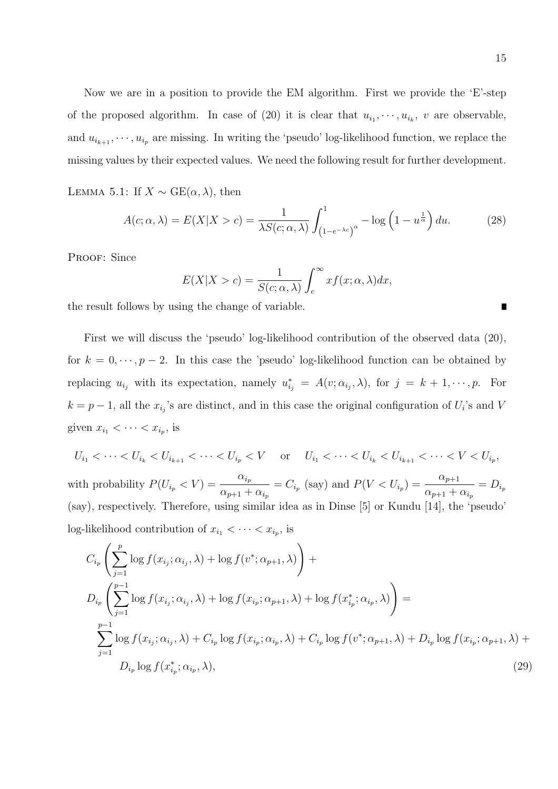Now we are in a position to provide the EM algorithm. First we provide the 'E'-step of the proposed algorithm. In case of (20) it is clear that  $u_{i_1}, \dots, u_{i_k}$ , v are observable, and  $u_{i_{k+1}}, \dots, u_{i_p}$  are missing. In writing the 'pseudo' log-likelihood function, we replace the missing values by their expected values. We need the following result for further development.

LEMMA 5.1: If  $X \sim \text{GE}(\alpha, \lambda)$ , then

$$
A(c; \alpha, \lambda) = E(X|X > c) = \frac{1}{\lambda S(c; \alpha, \lambda)} \int_{(1 - e^{-\lambda c})^{\alpha}}^{1} - \log\left(1 - u^{\frac{1}{\alpha}}\right) du.
$$
 (28)

PROOF: Since

$$
E(X|X>c) = \frac{1}{S(c; \alpha, \lambda)} \int_{c}^{\infty} x f(x; \alpha, \lambda) dx,
$$

the result follows by using the change of variable.

First we will discuss the 'pseudo' log-likelihood contribution of the observed data (20), for  $k = 0, \dots, p-2$ . In this case the 'pseudo' log-likelihood function can be obtained by replacing  $u_{i_j}$  with its expectation, namely  $u_{i_j}^* = A(v; \alpha_{i_j}, \lambda)$ , for  $j = k + 1, \dots, p$ . For  $k = p - 1$ , all the  $x_{i_j}$ 's are distinct, and in this case the original configuration of  $U_i$ 's and V given  $x_{i_1} < \cdots < x_{i_p}$ , is

$$
U_{i_1} < \cdots < U_{i_k} < U_{i_{k+1}} < \cdots < U_{i_p} < V
$$
 or  $U_{i_1} < \cdots < U_{i_k} < U_{i_{k+1}} < \cdots < V < U_{i_p}$ , with probability  $P(U_{i_p} < V) = \frac{\alpha_{i_p}}{\alpha_{p+1} + \alpha_{i_p}} = C_{i_p}$  (say) and  $P(V < U_{i_p}) = \frac{\alpha_{p+1}}{\alpha_{p+1} + \alpha_{i_p}} = D_{i_p}$  (say), respectively. Therefore, using similar idea as in Dinse [5] or Kundu [14], the 'pseudo' log-likelihood contribution of  $x_{i_1} < \cdots < x_{i_p}$ , is

$$
C_{i_p} \left( \sum_{j=1}^p \log f(x_{i_j}; \alpha_{i_j}, \lambda) + \log f(v^*; \alpha_{p+1}, \lambda) \right) +
$$
  
\n
$$
D_{i_p} \left( \sum_{j=1}^{p-1} \log f(x_{i_j}; \alpha_{i_j}, \lambda) + \log f(x_{i_p}; \alpha_{p+1}, \lambda) + \log f(x_{i_p}^*; \alpha_{i_p}, \lambda) \right) =
$$
  
\n
$$
\sum_{j=1}^{p-1} \log f(x_{i_j}; \alpha_{i_j}, \lambda) + C_{i_p} \log f(x_{i_p}; \alpha_{i_p}, \lambda) + C_{i_p} \log f(v^*; \alpha_{p+1}, \lambda) + D_{i_p} \log f(x_{i_p}; \alpha_{p+1}, \lambda) +
$$
  
\n
$$
D_{i_p} \log f(x_{i_p}^*; \alpha_{i_p}, \lambda), \qquad (29)
$$

П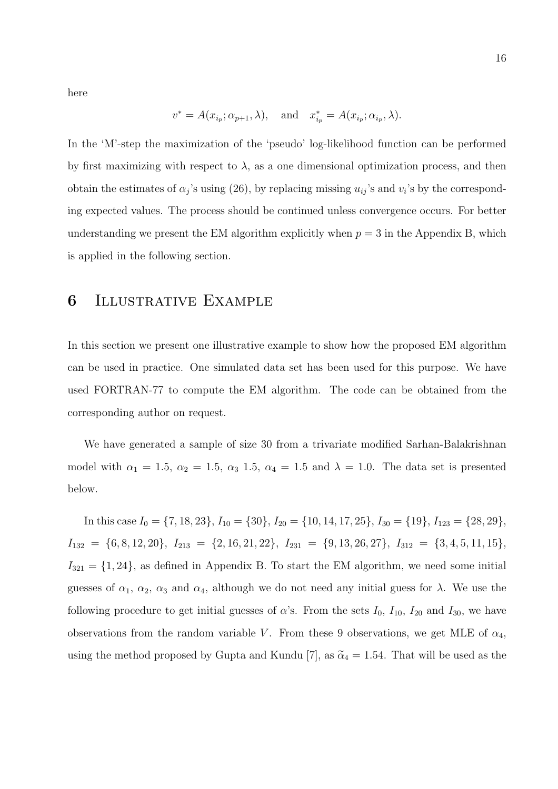here

$$
v^* = A(x_{i_p}; \alpha_{p+1}, \lambda), \quad \text{and} \quad x^*_{i_p} = A(x_{i_p}; \alpha_{i_p}, \lambda).
$$

In the 'M'-step the maximization of the 'pseudo' log-likelihood function can be performed by first maximizing with respect to  $\lambda$ , as a one dimensional optimization process, and then obtain the estimates of  $\alpha_j$ 's using (26), by replacing missing  $u_{ij}$ 's and  $v_i$ 's by the corresponding expected values. The process should be continued unless convergence occurs. For better understanding we present the EM algorithm explicitly when  $p = 3$  in the Appendix B, which is applied in the following section.

### 6 Illustrative Example

In this section we present one illustrative example to show how the proposed EM algorithm can be used in practice. One simulated data set has been used for this purpose. We have used FORTRAN-77 to compute the EM algorithm. The code can be obtained from the corresponding author on request.

We have generated a sample of size 30 from a trivariate modified Sarhan-Balakrishnan model with  $\alpha_1 = 1.5$ ,  $\alpha_2 = 1.5$ ,  $\alpha_3 = 1.5$ ,  $\alpha_4 = 1.5$  and  $\lambda = 1.0$ . The data set is presented below.

In this case  $I_0 = \{7, 18, 23\}, I_{10} = \{30\}, I_{20} = \{10, 14, 17, 25\}, I_{30} = \{19\}, I_{123} = \{28, 29\},$  $I_{132} = \{6, 8, 12, 20\}, I_{213} = \{2, 16, 21, 22\}, I_{231} = \{9, 13, 26, 27\}, I_{312} = \{3, 4, 5, 11, 15\},$  $I_{321} = \{1, 24\}$ , as defined in Appendix B. To start the EM algorithm, we need some initial guesses of  $\alpha_1$ ,  $\alpha_2$ ,  $\alpha_3$  and  $\alpha_4$ , although we do not need any initial guess for  $\lambda$ . We use the following procedure to get initial guesses of  $\alpha$ 's. From the sets  $I_0$ ,  $I_{10}$ ,  $I_{20}$  and  $I_{30}$ , we have observations from the random variable V. From these 9 observations, we get MLE of  $\alpha_4$ , using the method proposed by Gupta and Kundu [7], as  $\tilde{\alpha}_4 = 1.54$ . That will be used as the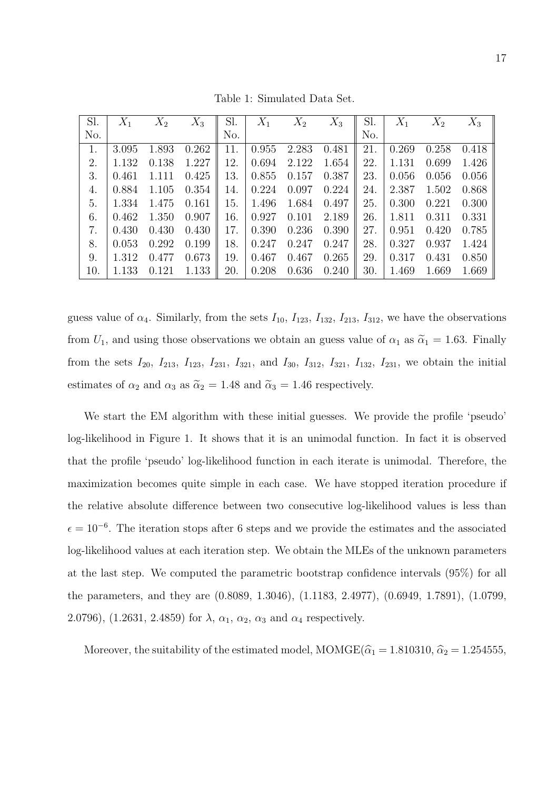| Sl. | $X_1$ | $X_2$ | $X_3$ | Sl. | $X_1$ | $X_2$ | $X_3$ | Sl. | $X_1$ | $X_2$ | $X_3$ |
|-----|-------|-------|-------|-----|-------|-------|-------|-----|-------|-------|-------|
| No. |       |       |       | No. |       |       |       | No. |       |       |       |
|     | 3.095 | 1.893 | 0.262 | 11. | 0.955 | 2.283 | 0.481 | 21. | 0.269 | 0.258 | 0.418 |
| 2.  | 1.132 | 0.138 | 1.227 | 12. | 0.694 | 2.122 | 1.654 | 22. | 1.131 | 0.699 | 1.426 |
| 3.  | 0.461 | 1.111 | 0.425 | 13. | 0.855 | 0.157 | 0.387 | 23. | 0.056 | 0.056 | 0.056 |
| 4.  | 0.884 | 1.105 | 0.354 | 14. | 0.224 | 0.097 | 0.224 | 24. | 2.387 | 1.502 | 0.868 |
| 5.  | 1.334 | 1.475 | 0.161 | 15. | 1.496 | 1.684 | 0.497 | 25. | 0.300 | 0.221 | 0.300 |
| 6.  | 0.462 | 1.350 | 0.907 | 16. | 0.927 | 0.101 | 2.189 | 26. | 1.811 | 0.311 | 0.331 |
| 7.  | 0.430 | 0.430 | 0.430 | 17. | 0.390 | 0.236 | 0.390 | 27. | 0.951 | 0.420 | 0.785 |
| 8.  | 0.053 | 0.292 | 0.199 | 18. | 0.247 | 0.247 | 0.247 | 28. | 0.327 | 0.937 | 1.424 |
| 9.  | 1.312 | 0.477 | 0.673 | 19. | 0.467 | 0.467 | 0.265 | 29. | 0.317 | 0.431 | 0.850 |
| 10. | 1.133 | 0.121 | 1.133 | 20. | 0.208 | 0.636 | 0.240 | 30. | 1.469 | 1.669 | 1.669 |

Table 1: Simulated Data Set.

guess value of  $\alpha_4$ . Similarly, from the sets  $I_{10}$ ,  $I_{123}$ ,  $I_{132}$ ,  $I_{213}$ ,  $I_{312}$ , we have the observations from  $U_1$ , and using those observations we obtain an guess value of  $\alpha_1$  as  $\tilde{\alpha}_1 = 1.63$ . Finally from the sets  $I_{20}$ ,  $I_{213}$ ,  $I_{123}$ ,  $I_{231}$ ,  $I_{321}$ , and  $I_{30}$ ,  $I_{312}$ ,  $I_{321}$ ,  $I_{132}$ ,  $I_{231}$ , we obtain the initial estimates of  $\alpha_2$  and  $\alpha_3$  as  $\tilde{\alpha}_2 = 1.48$  and  $\tilde{\alpha}_3 = 1.46$  respectively.

We start the EM algorithm with these initial guesses. We provide the profile 'pseudo' log-likelihood in Figure 1. It shows that it is an unimodal function. In fact it is observed that the profile 'pseudo' log-likelihood function in each iterate is unimodal. Therefore, the maximization becomes quite simple in each case. We have stopped iteration procedure if the relative absolute difference between two consecutive log-likelihood values is less than  $\epsilon = 10^{-6}$ . The iteration stops after 6 steps and we provide the estimates and the associated log-likelihood values at each iteration step. We obtain the MLEs of the unknown parameters at the last step. We computed the parametric bootstrap confidence intervals (95%) for all the parameters, and they are (0.8089, 1.3046), (1.1183, 2.4977), (0.6949, 1.7891), (1.0799, 2.0796),  $(1.2631, 2.4859)$  for  $\lambda$ ,  $\alpha_1$ ,  $\alpha_2$ ,  $\alpha_3$  and  $\alpha_4$  respectively.

Moreover, the suitability of the estimated model,  $MOMGE(\hat{\alpha}_1 = 1.810310, \hat{\alpha}_2 = 1.254555,$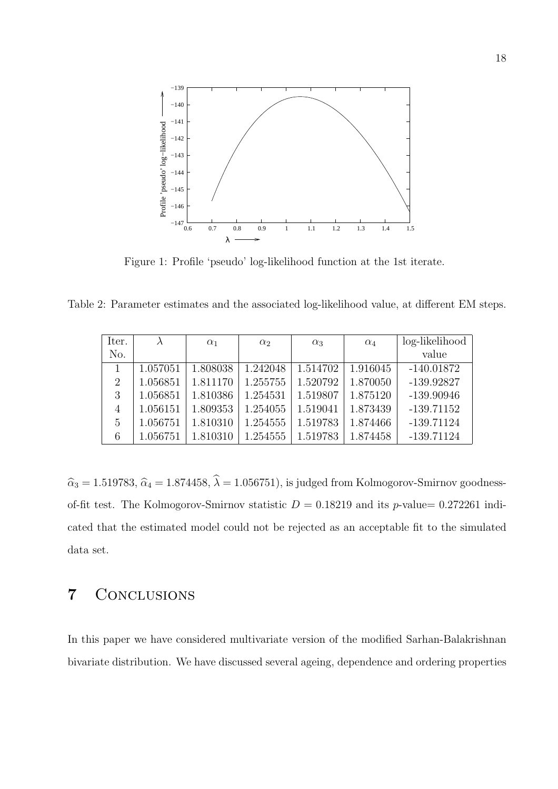

Figure 1: Profile 'pseudo' log-likelihood function at the 1st iterate.

Table 2: Parameter estimates and the associated log-likelihood value, at different EM steps.

| Iter.          |          | $\alpha_1$ | $\alpha_2$ | $\alpha_3$ | $\alpha_4$ | log-likelihood |
|----------------|----------|------------|------------|------------|------------|----------------|
| No.            |          |            |            |            |            | value          |
|                | 1.057051 | 1.808038   | 1.242048   | 1.514702   | 1.916045   | $-140.01872$   |
| $\overline{2}$ | 1.056851 | 1.811170   | 1.255755   | 1.520792   | 1.870050   | $-139.92827$   |
| 3              | 1.056851 | 1.810386   | 1.254531   | 1.519807   | 1.875120   | $-139.90946$   |
| $\overline{4}$ | 1.056151 | 1.809353   | 1.254055   | 1.519041   | 1.873439   | $-139.71152$   |
| 5              | 1.056751 | 1.810310   | 1.254555   | 1.519783   | 1.874466   | $-139.71124$   |
| 6              | 1.056751 | 1.810310   | 1.254555   | 1.519783   | 1.874458   | $-139.71124$   |

 $\hat{\alpha}_3 = 1.519783, \hat{\alpha}_4 = 1.874458, \hat{\lambda} = 1.056751$ , is judged from Kolmogorov-Smirnov goodnessof-fit test. The Kolmogorov-Smirnov statistic  $D = 0.18219$  and its p-value= 0.272261 indicated that the estimated model could not be rejected as an acceptable fit to the simulated data set.

# 7 Conclusions

In this paper we have considered multivariate version of the modified Sarhan-Balakrishnan bivariate distribution. We have discussed several ageing, dependence and ordering properties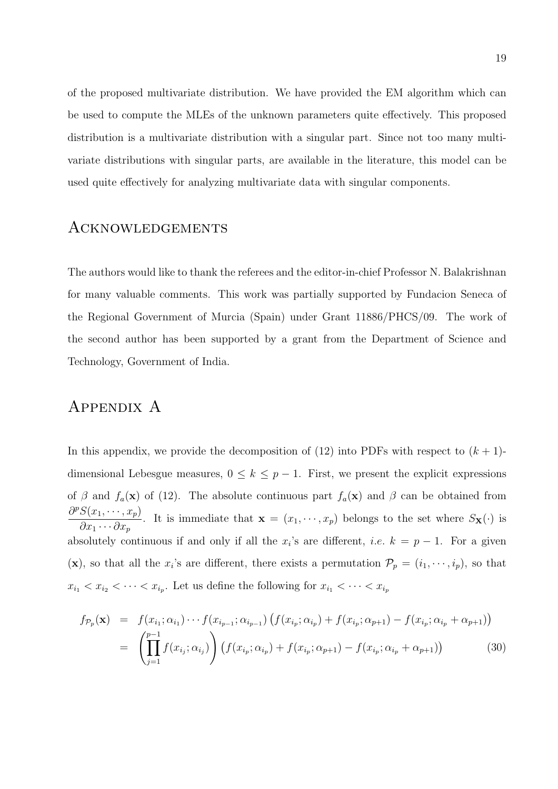of the proposed multivariate distribution. We have provided the EM algorithm which can be used to compute the MLEs of the unknown parameters quite effectively. This proposed distribution is a multivariate distribution with a singular part. Since not too many multivariate distributions with singular parts, are available in the literature, this model can be used quite effectively for analyzing multivariate data with singular components.

### Acknowledgements

The authors would like to thank the referees and the editor-in-chief Professor N. Balakrishnan for many valuable comments. This work was partially supported by Fundacion Seneca of the Regional Government of Murcia (Spain) under Grant 11886/PHCS/09. The work of the second author has been supported by a grant from the Department of Science and Technology, Government of India.

# Appendix A

In this appendix, we provide the decomposition of (12) into PDFs with respect to  $(k + 1)$ dimensional Lebesgue measures,  $0 \leq k \leq p-1$ . First, we present the explicit expressions of  $\beta$  and  $f_a(\mathbf{x})$  of (12). The absolute continuous part  $f_a(\mathbf{x})$  and  $\beta$  can be obtained from  $\partial^p S(x_1,\dots,x_p)$  $\partial x_1 \cdots \partial x_p$ . It is immediate that  $\mathbf{x} = (x_1, \dots, x_p)$  belongs to the set where  $S_{\mathbf{X}}(\cdot)$  is absolutely continuous if and only if all the  $x_i$ 's are different, *i.e.*  $k = p - 1$ . For a given (x), so that all the  $x_i$ 's are different, there exists a permutation  $\mathcal{P}_p = (i_1, \dots, i_p)$ , so that  $x_{i_1} < x_{i_2} < \cdots < x_{i_p}$ . Let us define the following for  $x_{i_1} < \cdots < x_{i_p}$ 

$$
f_{\mathcal{P}_p}(\mathbf{x}) = f(x_{i_1}; \alpha_{i_1}) \cdots f(x_{i_{p-1}}; \alpha_{i_{p-1}}) \left( f(x_{i_p}; \alpha_{i_p}) + f(x_{i_p}; \alpha_{p+1}) - f(x_{i_p}; \alpha_{i_p} + \alpha_{p+1}) \right)
$$
  
= 
$$
\left( \prod_{j=1}^{p-1} f(x_{i_j}; \alpha_{i_j}) \right) \left( f(x_{i_p}; \alpha_{i_p}) + f(x_{i_p}; \alpha_{p+1}) - f(x_{i_p}; \alpha_{i_p} + \alpha_{p+1}) \right)
$$
(30)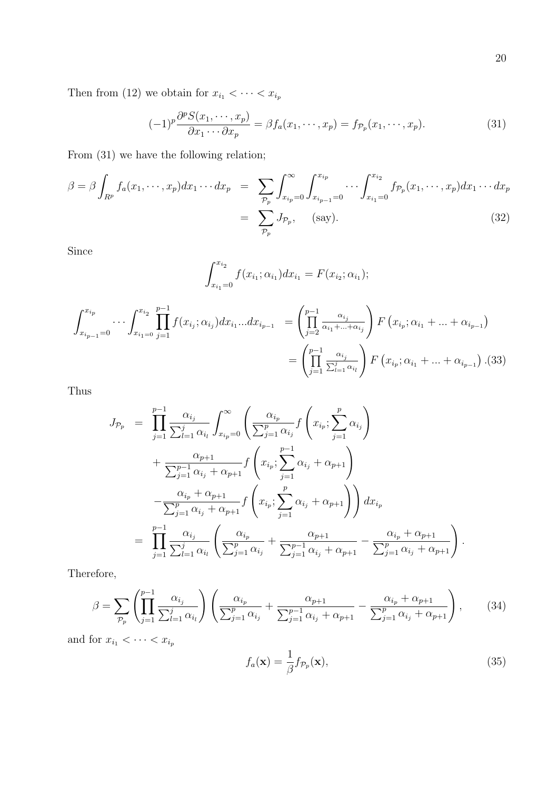Then from (12) we obtain for  $x_{i_1} < \cdots < x_{i_p}$ 

$$
(-1)^p \frac{\partial^p S(x_1, \dots, x_p)}{\partial x_1 \cdots \partial x_p} = \beta f_a(x_1, \dots, x_p) = f_{\mathcal{P}_p}(x_1, \dots, x_p).
$$
 (31)

From (31) we have the following relation;

$$
\beta = \beta \int_{R^p} f_a(x_1, \dots, x_p) dx_1 \dots dx_p = \sum_{\mathcal{P}_p} \int_{x_{ip}=0}^{\infty} \int_{x_{ip}=1}^{x_{ip}} \dots \int_{x_{i_1}=0}^{x_{i_2}} f_{\mathcal{P}_p}(x_1, \dots, x_p) dx_1 \dots dx_p
$$

$$
= \sum_{\mathcal{P}_p} J_{\mathcal{P}_p}, \quad \text{(say)}.
$$
(32)

Since

$$
\int_{x_{i_1}=0}^{x_{i_2}} f(x_{i_1}; \alpha_{i_1}) dx_{i_1} = F(x_{i_2}; \alpha_{i_1});
$$

$$
\int_{x_{i_{p-1}}=0}^{x_{i_p}} \cdots \int_{x_{i_1=0}}^{x_{i_2}} \prod_{j=1}^{p-1} f(x_{i_j}; \alpha_{i_j}) dx_{i_1} \dots dx_{i_{p-1}} = \left(\prod_{j=2}^{p-1} \frac{\alpha_{i_j}}{\alpha_{i_1} + \dots + \alpha_{i_j}}\right) F(x_{i_p}; \alpha_{i_1} + \dots + \alpha_{i_{p-1}})
$$

$$
= \left(\prod_{j=1}^{p-1} \frac{\alpha_{i_j}}{\sum_{l=1}^j \alpha_{i_l}}\right) F(x_{i_p}; \alpha_{i_1} + \dots + \alpha_{i_{p-1}}). (33)
$$

Thus

$$
J_{\mathcal{P}_p} = \prod_{j=1}^{p-1} \frac{\alpha_{i_j}}{\sum_{l=1}^{j} \alpha_{i_l}} \int_{x_{i_p}=0}^{\infty} \left( \frac{\alpha_{i_p}}{\sum_{j=1}^{p} \alpha_{i_j}} f \left( x_{i_p}; \sum_{j=1}^{p} \alpha_{i_j} \right) \right. \\
\left. + \frac{\alpha_{p+1}}{\sum_{j=1}^{p-1} \alpha_{i_j} + \alpha_{p+1}} f \left( x_{i_p}; \sum_{j=1}^{p-1} \alpha_{i_j} + \alpha_{p+1} \right) \right. \\
\left. - \frac{\alpha_{i_p} + \alpha_{p+1}}{\sum_{j=1}^{p} \alpha_{i_j} + \alpha_{p+1}} f \left( x_{i_p}; \sum_{j=1}^{p} \alpha_{i_j} + \alpha_{p+1} \right) \right) dx_{i_p} \\
= \prod_{j=1}^{p-1} \frac{\alpha_{i_j}}{\sum_{l=1}^{j} \alpha_{i_l}} \left( \frac{\alpha_{i_p}}{\sum_{j=1}^{p} \alpha_{i_j}} + \frac{\alpha_{p+1}}{\sum_{j=1}^{p-1} \alpha_{i_j} + \alpha_{p+1}} - \frac{\alpha_{i_p} + \alpha_{p+1}}{\sum_{j=1}^{p} \alpha_{i_j} + \alpha_{p+1}} \right).
$$

Therefore,

$$
\beta = \sum_{\mathcal{P}_p} \left( \prod_{j=1}^{p-1} \frac{\alpha_{i_j}}{\sum_{l=1}^j \alpha_{i_l}} \right) \left( \frac{\alpha_{i_p}}{\sum_{j=1}^p \alpha_{i_j}} + \frac{\alpha_{p+1}}{\sum_{j=1}^{p-1} \alpha_{i_j} + \alpha_{p+1}} - \frac{\alpha_{i_p} + \alpha_{p+1}}{\sum_{j=1}^p \alpha_{i_j} + \alpha_{p+1}} \right), \tag{34}
$$

and for  $x_{i_1} < \cdots < x_{i_p}$ 

$$
f_a(\mathbf{x}) = \frac{1}{\beta} f_{\mathcal{P}_p}(\mathbf{x}),\tag{35}
$$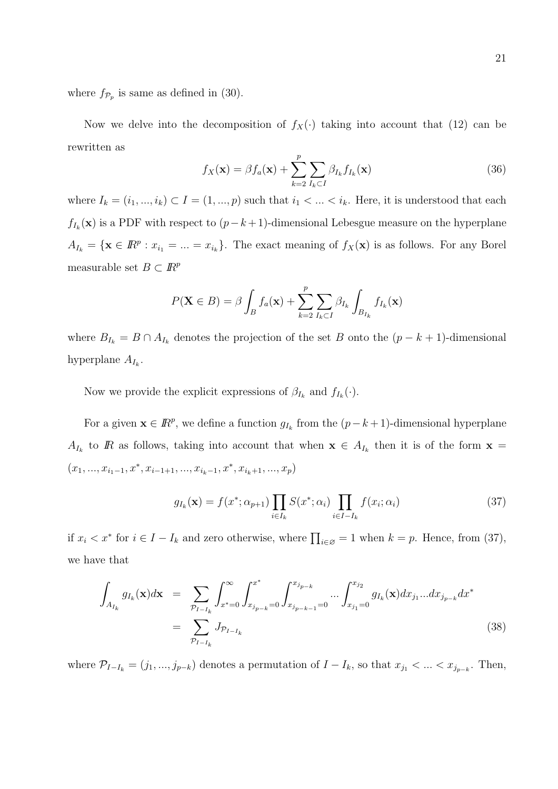where  $f_{\mathcal{P}_p}$  is same as defined in (30).

Now we delve into the decomposition of  $f_X(\cdot)$  taking into account that (12) can be rewritten as

$$
f_X(\mathbf{x}) = \beta f_a(\mathbf{x}) + \sum_{k=2}^p \sum_{I_k \subset I} \beta_{I_k} f_{I_k}(\mathbf{x})
$$
\n(36)

where  $I_k = (i_1, ..., i_k) \subset I = (1, ..., p)$  such that  $i_1 < ... < i_k$ . Here, it is understood that each  $f_{I_k}(\mathbf{x})$  is a PDF with respect to  $(p-k+1)$ -dimensional Lebesgue measure on the hyperplane  $A_{I_k} = \{ \mathbf{x} \in \mathbb{R}^p : x_{i_1} = ... = x_{i_k} \}.$  The exact meaning of  $f_X(\mathbf{x})$  is as follows. For any Borel measurable set  $B\subset I\!\!R^p$ 

$$
P(\mathbf{X} \in B) = \beta \int_B f_a(\mathbf{x}) + \sum_{k=2}^p \sum_{I_k \subset I} \beta_{I_k} \int_{B_{I_k}} f_{I_k}(\mathbf{x})
$$

where  $B_{I_k} = B \cap A_{I_k}$  denotes the projection of the set B onto the  $(p - k + 1)$ -dimensional hyperplane  $A_{I_k}$ .

Now we provide the explicit expressions of  $\beta_{I_k}$  and  $f_{I_k}(\cdot)$ .

For a given  $\mathbf{x} \in \mathbb{R}^p$ , we define a function  $g_{I_k}$  from the  $(p-k+1)$ -dimensional hyperplane  $A_{I_k}$  to R as follows, taking into account that when  $\mathbf{x} \in A_{I_k}$  then it is of the form  $\mathbf{x} =$  $(x_1, ..., x_{i_1-1}, x^*, x_{i-1+1}, ..., x_{i_k-1}, x^*, x_{i_k+1}, ..., x_p)$ 

$$
g_{I_k}(\mathbf{x}) = f(x^*; \alpha_{p+1}) \prod_{i \in I_k} S(x^*; \alpha_i) \prod_{i \in I - I_k} f(x_i; \alpha_i)
$$
 (37)

if  $x_i < x^*$  for  $i \in I - I_k$  and zero otherwise, where  $\prod_{i \in \emptyset} = 1$  when  $k = p$ . Hence, from (37), we have that

$$
\int_{A_{I_k}} g_{I_k}(\mathbf{x}) d\mathbf{x} = \sum_{\mathcal{P}_{I-I_k}} \int_{x^* = 0}^{\infty} \int_{x_{j_{p-k}} = 0}^{x^*} \int_{x_{j_{p-k-1}} = 0}^{x_{j_{p-k}}} \cdots \int_{x_{j_1} = 0}^{x_{j_2}} g_{I_k}(\mathbf{x}) dx_{j_1} \cdots dx_{j_{p-k}} dx^*
$$
\n
$$
= \sum_{\mathcal{P}_{I-I_k}} J_{\mathcal{P}_{I-I_k}} \tag{38}
$$

where  $\mathcal{P}_{I-I_k} = (j_1, ..., j_{p-k})$  denotes a permutation of  $I - I_k$ , so that  $x_{j_1} < ... < x_{j_{p-k}}$ . Then,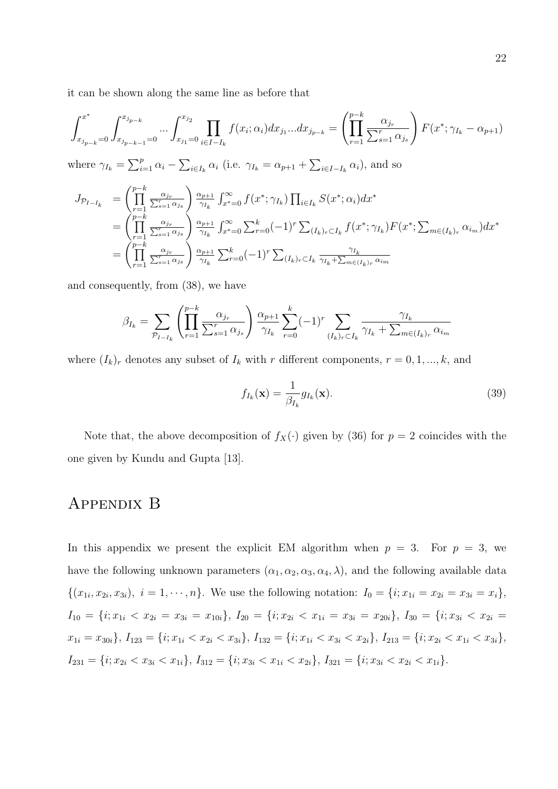it can be shown along the same line as before that

$$
\int_{x_{j_{p-k}}=0}^{x^*} \int_{x_{j_{p-k-1}}=0}^{x_{j_{p-k}}} \dots \int_{x_{j_1}=0}^{x_{j_2}} \prod_{i \in I-I_k} f(x_i; \alpha_i) dx_{j_1} \dots dx_{j_{p-k}} = \left(\prod_{r=1}^{p-k} \frac{\alpha_{j_r}}{\sum_{s=1}^r \alpha_{j_s}}\right) F(x^*; \gamma_{I_k} - \alpha_{p+1})
$$
\nwhere  $\alpha_i$  =  $\sum_{r=1}^{p} \alpha_i = \sum_{r=1}^{p} \alpha_i$  (i.e.  $\alpha_i$  =  $\alpha_i$  +  $\sum_{r=1}^{p} \alpha_i$ ) and so

where  $\gamma_{I_k} = \sum_{i=1}^p \alpha_i - \sum_{i \in I_k} \alpha_i$  (i.e.  $\gamma_{I_k} = \alpha_{p+1} + \sum_{i \in I - I_k} \alpha_i$ ), and so

$$
J_{\mathcal{P}_{I-I_k}} = \left(\prod_{r=1}^{p-k} \frac{\alpha_{j_r}}{\sum_{s=1}^r \alpha_{j_s}}\right) \frac{\alpha_{p+1}}{\gamma_{I_k}} \int_{x^* = 0}^{\infty} f(x^*; \gamma_{I_k}) \prod_{i \in I_k} S(x^*; \alpha_i) dx^*
$$
  
\n
$$
= \left(\prod_{r=1}^{p-k} \frac{\alpha_{j_r}}{\sum_{s=1}^r \alpha_{j_s}}\right) \frac{\alpha_{p+1}}{\gamma_{I_k}} \int_{x^* = 0}^{\infty} \sum_{r=0}^k (-1)^r \sum_{(I_k)_r \subset I_k} f(x^*; \gamma_{I_k}) F(x^*; \sum_{m \in (I_k)_r} \alpha_{i_m}) dx^*
$$
  
\n
$$
= \left(\prod_{r=1}^{p-k} \frac{\alpha_{j_r}}{\sum_{s=1}^r \alpha_{j_s}}\right) \frac{\alpha_{p+1}}{\gamma_{I_k}} \sum_{r=0}^k (-1)^r \sum_{(I_k)_r \subset I_k} \frac{\gamma_{I_k}}{\gamma_{I_k} + \sum_{m \in (I_k)_r} \alpha_{i_m}}
$$

and consequently, from (38), we have

$$
\beta_{I_k} = \sum_{\mathcal{P}_{I-I_k}} \left( \prod_{r=1}^{p-k} \frac{\alpha_{j_r}}{\sum_{s=1}^r \alpha_{j_s}} \right) \frac{\alpha_{p+1}}{\gamma_{I_k}} \sum_{r=0}^k (-1)^r \sum_{(I_k)_r \subset I_k} \frac{\gamma_{I_k}}{\gamma_{I_k} + \sum_{m \in (I_k)_r} \alpha_{i_m}}
$$

where  $(I_k)_r$  denotes any subset of  $I_k$  with r different components,  $r = 0, 1, ..., k$ , and

$$
f_{I_k}(\mathbf{x}) = \frac{1}{\beta_{I_k}} g_{I_k}(\mathbf{x}).
$$
\n(39)

Note that, the above decomposition of  $f_X(\cdot)$  given by (36) for  $p = 2$  coincides with the one given by Kundu and Gupta [13].

### Appendix B

In this appendix we present the explicit EM algorithm when  $p = 3$ . For  $p = 3$ , we have the following unknown parameters  $(\alpha_1, \alpha_2, \alpha_3, \alpha_4, \lambda)$ , and the following available data  $\{(x_{1i}, x_{2i}, x_{3i}), i = 1, \cdots, n\}.$  We use the following notation:  $I_0 = \{i; x_{1i} = x_{2i} = x_{3i} = x_i\},\$  $I_{10} = \{i; x_{1i} < x_{2i} = x_{3i} = x_{10i}\}, I_{20} = \{i; x_{2i} < x_{1i} = x_{3i} = x_{20i}\}, I_{30} = \{i; x_{3i} < x_{2i} = x_{3i}\}, I_{41} = \{i; x_{3i} < x_{3i} = x_{3i}\}$  $x_{1i} = x_{30i}$ ,  $I_{123} = \{i; x_{1i} < x_{2i} < x_{3i}\}, I_{132} = \{i; x_{1i} < x_{3i} < x_{2i}\}, I_{213} = \{i; x_{2i} < x_{1i} < x_{3i}\},$  $I_{231} = \{i; x_{2i} < x_{3i} < x_{1i}\}, I_{312} = \{i; x_{3i} < x_{1i} < x_{2i}\}, I_{321} = \{i; x_{3i} < x_{2i} < x_{1i}\}.$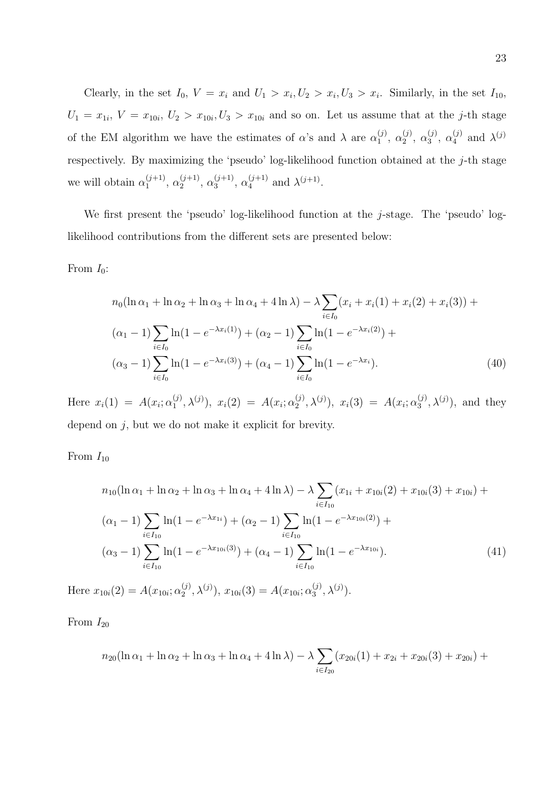Clearly, in the set  $I_0$ ,  $V = x_i$  and  $U_1 > x_i$ ,  $U_2 > x_i$ ,  $U_3 > x_i$ . Similarly, in the set  $I_{10}$ ,  $U_1 = x_{1i}, V = x_{10i}, U_2 > x_{10i}, U_3 > x_{10i}$  and so on. Let us assume that at the *j*-th stage of the EM algorithm we have the estimates of  $\alpha$ 's and  $\lambda$  are  $\alpha_1^{(j)}$  $\binom{(j)}{1}, \ \alpha_2^{(j)}$  $_{2}^{(j)}, \alpha_{3}^{(j)}$  $\alpha_3^{(j)}$ ,  $\alpha_4^{(j)}$  and  $\lambda^{(j)}$ respectively. By maximizing the 'pseudo' log-likelihood function obtained at the  $j$ -th stage we will obtain  $\alpha_1^{(j+1)}$  $\alpha_1^{(j+1)}, \alpha_2^{(j+1)}$  $\alpha_2^{(j+1)}, \alpha_3^{(j+1)}$  $\alpha_3^{(j+1)}, \alpha_4^{(j+1)}$  $\lambda_4^{(j+1)}$  and  $\lambda^{(j+1)}$ .

We first present the 'pseudo' log-likelihood function at the  $j$ -stage. The 'pseudo' loglikelihood contributions from the different sets are presented below:

From  $I_0$ :

$$
n_0(\ln \alpha_1 + \ln \alpha_2 + \ln \alpha_3 + \ln \alpha_4 + 4 \ln \lambda) - \lambda \sum_{i \in I_0} (x_i + x_i(1) + x_i(2) + x_i(3)) +
$$
  
\n
$$
(\alpha_1 - 1) \sum_{i \in I_0} \ln(1 - e^{-\lambda x_i(1)}) + (\alpha_2 - 1) \sum_{i \in I_0} \ln(1 - e^{-\lambda x_i(2)}) +
$$
  
\n
$$
(\alpha_3 - 1) \sum_{i \in I_0} \ln(1 - e^{-\lambda x_i(3)}) + (\alpha_4 - 1) \sum_{i \in I_0} \ln(1 - e^{-\lambda x_i}).
$$
\n(40)

Here  $x_i(1) = A(x_i; \alpha_1^{(j)})$  $(2)_{1}^{(j)}, \lambda^{(j)}), x_{i}(2) = A(x_{i}; \alpha_{2}^{(j)})$  $\chi_2^{(j)}, \lambda^{(j)}), x_i(3) = A(x_i; \alpha_3^{(j)})$  $\mathfrak{z}^{(j)}, \lambda^{(j)}$ , and they depend on j, but we do not make it explicit for brevity.

From  $I_{10}$ 

$$
n_{10}(\ln \alpha_1 + \ln \alpha_2 + \ln \alpha_3 + \ln \alpha_4 + 4 \ln \lambda) - \lambda \sum_{i \in I_{10}} (x_{1i} + x_{10i}(2) + x_{10i}(3) + x_{10i}) +
$$
  
\n
$$
(\alpha_1 - 1) \sum_{i \in I_{10}} \ln(1 - e^{-\lambda x_{1i}}) + (\alpha_2 - 1) \sum_{i \in I_{10}} \ln(1 - e^{-\lambda x_{10i}(2)}) +
$$
  
\n
$$
(\alpha_3 - 1) \sum_{i \in I_{10}} \ln(1 - e^{-\lambda x_{10i}(3)}) + (\alpha_4 - 1) \sum_{i \in I_{10}} \ln(1 - e^{-\lambda x_{10i}}).
$$
\n(41)

Here  $x_{10i}(2) = A(x_{10i}; \alpha_2^{(j)})$  $(2^{\binom{j}{2}}, \lambda^{(j)}), x_{10i}(3) = A(x_{10i}; \alpha_3^{(j)})$  $_{3}^{(j)}, \lambda^{(j)}).$ 

From  $I_{20}$ 

$$
n_{20}(\ln \alpha_1 + \ln \alpha_2 + \ln \alpha_3 + \ln \alpha_4 + 4 \ln \lambda) - \lambda \sum_{i \in I_{20}} (x_{20i}(1) + x_{2i} + x_{20i}(3) + x_{20i}) +
$$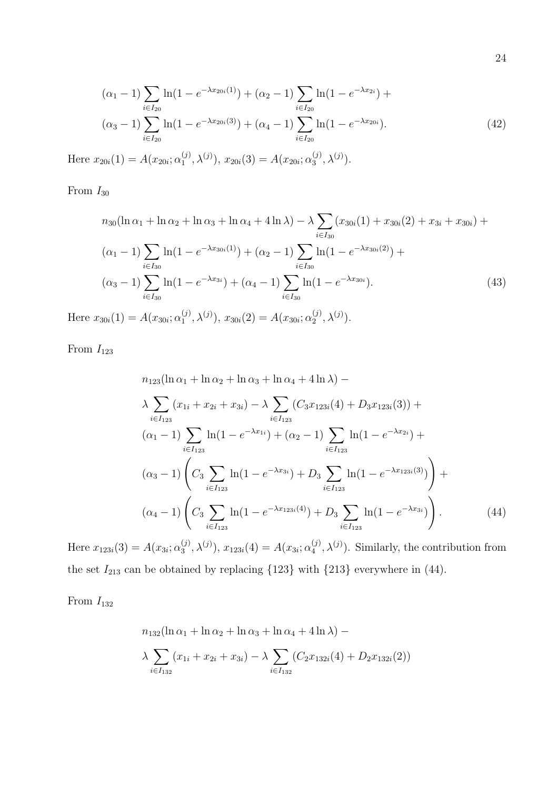$$
(\alpha_1 - 1) \sum_{i \in I_{20}} \ln(1 - e^{-\lambda x_{20i}(1)}) + (\alpha_2 - 1) \sum_{i \in I_{20}} \ln(1 - e^{-\lambda x_{2i}}) +
$$
  
\n
$$
(\alpha_3 - 1) \sum_{i \in I_{20}} \ln(1 - e^{-\lambda x_{20i}(3)}) + (\alpha_4 - 1) \sum_{i \in I_{20}} \ln(1 - e^{-\lambda x_{20i}}).
$$
  
\n(42)

Here  $x_{20i}(1) = A(x_{20i}; \alpha_1^{(j)})$  $(1, 1), \lambda^{(j)}), x_{20i}(3) = A(x_{20i}; \alpha_3^{(j)})$  $_{3}^{(j)}, \lambda^{(j)}).$ 

From  $I_{30}$ 

$$
n_{30}(\ln \alpha_1 + \ln \alpha_2 + \ln \alpha_3 + \ln \alpha_4 + 4 \ln \lambda) - \lambda \sum_{i \in I_{30}} (x_{30i}(1) + x_{30i}(2) + x_{3i} + x_{30i}) +
$$
  

$$
(\alpha_1 - 1) \sum_{i \in I_{30}} \ln(1 - e^{-\lambda x_{30i}(1)}) + (\alpha_2 - 1) \sum_{i \in I_{30}} \ln(1 - e^{-\lambda x_{30i}(2)}) +
$$
  

$$
(\alpha_3 - 1) \sum_{i \in I_{30}} \ln(1 - e^{-\lambda x_{3i}}) + (\alpha_4 - 1) \sum_{i \in I_{30}} \ln(1 - e^{-\lambda x_{30i}}).
$$
 (43)

Here  $x_{30i}(1) = A(x_{30i}; \alpha_1^{(j)})$  $(1, 1), \lambda^{(j)}), x_{30i}(2) = A(x_{30i}; \alpha_2^{(j)})$  $_{2}^{(j)}, \lambda^{(j)}).$ 

From  $I_{123}$ 

$$
n_{123}(\ln \alpha_1 + \ln \alpha_2 + \ln \alpha_3 + \ln \alpha_4 + 4 \ln \lambda) -
$$
\n
$$
\lambda \sum_{i \in I_{123}} (x_{1i} + x_{2i} + x_{3i}) - \lambda \sum_{i \in I_{123}} (C_3 x_{123i}(4) + D_3 x_{123i}(3)) +
$$
\n
$$
(\alpha_1 - 1) \sum_{i \in I_{123}} \ln(1 - e^{-\lambda x_{1i}}) + (\alpha_2 - 1) \sum_{i \in I_{123}} \ln(1 - e^{-\lambda x_{2i}}) +
$$
\n
$$
(\alpha_3 - 1) \left( C_3 \sum_{i \in I_{123}} \ln(1 - e^{-\lambda x_{3i}}) + D_3 \sum_{i \in I_{123}} \ln(1 - e^{-\lambda x_{123i}(3)}) \right) +
$$
\n
$$
(\alpha_4 - 1) \left( C_3 \sum_{i \in I_{123}} \ln(1 - e^{-\lambda x_{123i}(4)}) + D_3 \sum_{i \in I_{123}} \ln(1 - e^{-\lambda x_{3i}}) \right).
$$
\n(44)

Here  $x_{123i}(3) = A(x_{3i}; \alpha_3^{(j)})$  $\mathcal{L}_{3}^{(j)}, \lambda^{(j)}), x_{123i}(4) = A(x_{3i}; \alpha_{4}^{(j)})$  $\lambda_4^{(j)}$ ,  $\lambda^{(j)}$ ). Similarly, the contribution from the set  $I_{213}$  can be obtained by replacing  $\{123\}$  with  $\{213\}$  everywhere in (44).

From  $I_{132}$ 

$$
n_{132}(\ln \alpha_1 + \ln \alpha_2 + \ln \alpha_3 + \ln \alpha_4 + 4 \ln \lambda) -
$$

$$
\lambda \sum_{i \in I_{132}} (x_{1i} + x_{2i} + x_{3i}) - \lambda \sum_{i \in I_{132}} (C_2 x_{132i}(4) + D_2 x_{132i}(2))
$$

24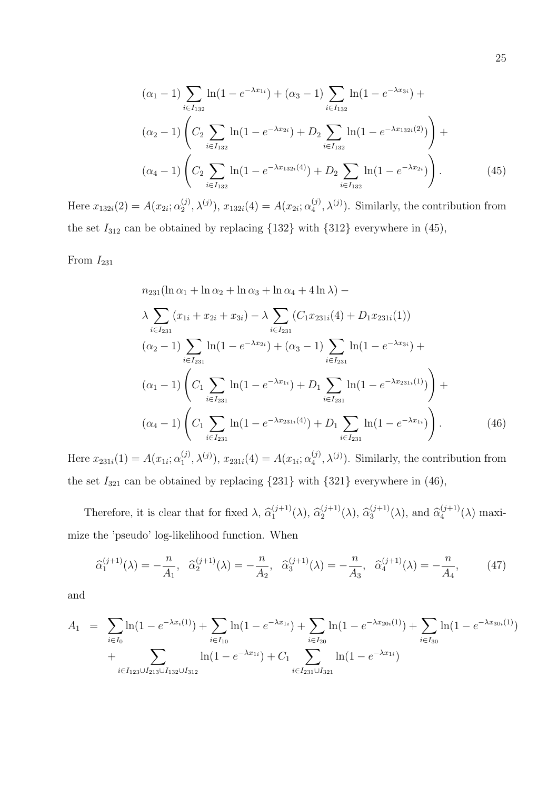$$
(\alpha_1 - 1) \sum_{i \in I_{132}} \ln(1 - e^{-\lambda x_{1i}}) + (\alpha_3 - 1) \sum_{i \in I_{132}} \ln(1 - e^{-\lambda x_{3i}}) +
$$
  
\n
$$
(\alpha_2 - 1) \left( C_2 \sum_{i \in I_{132}} \ln(1 - e^{-\lambda x_{2i}}) + D_2 \sum_{i \in I_{132}} \ln(1 - e^{-\lambda x_{132i}(2)}) \right) +
$$
  
\n
$$
(\alpha_4 - 1) \left( C_2 \sum_{i \in I_{132}} \ln(1 - e^{-\lambda x_{132i}(4)}) + D_2 \sum_{i \in I_{132}} \ln(1 - e^{-\lambda x_{2i}}) \right).
$$
 (45)

Here  $x_{132i}(2) = A(x_{2i}; \alpha_2^{(j)})$  $(2^{\binom{j}{2}}, \lambda^{(j)}), x_{132i}(4) = A(x_{2i}; \alpha_4^{(j)})$  $\lambda_4^{(j)}$ ,  $\lambda^{(j)}$ ). Similarly, the contribution from the set  $I_{312}$  can be obtained by replacing  $\{132\}$  with  $\{312\}$  everywhere in  $(45)$ ,

From  $I_{231}$ 

$$
n_{231}(\ln \alpha_1 + \ln \alpha_2 + \ln \alpha_3 + \ln \alpha_4 + 4 \ln \lambda) -
$$
\n
$$
\lambda \sum_{i \in I_{231}} (x_{1i} + x_{2i} + x_{3i}) - \lambda \sum_{i \in I_{231}} (C_1 x_{231i}(4) + D_1 x_{231i}(1))
$$
\n
$$
(\alpha_2 - 1) \sum_{i \in I_{231}} \ln(1 - e^{-\lambda x_{2i}}) + (\alpha_3 - 1) \sum_{i \in I_{231}} \ln(1 - e^{-\lambda x_{3i}}) +
$$
\n
$$
(\alpha_1 - 1) \left( C_1 \sum_{i \in I_{231}} \ln(1 - e^{-\lambda x_{1i}}) + D_1 \sum_{i \in I_{231}} \ln(1 - e^{-\lambda x_{231i}(1)}) \right) +
$$
\n
$$
(\alpha_4 - 1) \left( C_1 \sum_{i \in I_{231}} \ln(1 - e^{-\lambda x_{231i}(4)}) + D_1 \sum_{i \in I_{231}} \ln(1 - e^{-\lambda x_{1i}}) \right).
$$
\n(46)

Here  $x_{231i}(1) = A(x_{1i}; \alpha_1^{(j)})$  $(1, 1), \lambda^{(j)}), x_{231i}(4) = A(x_{1i}; \alpha_4^{(j)})$  $\lambda_4^{(j)}$ ,  $\lambda^{(j)}$ ). Similarly, the contribution from the set  $I_{321}$  can be obtained by replacing  $\{231\}$  with  $\{321\}$  everywhere in  $(46)$ ,

Therefore, it is clear that for fixed  $\lambda$ ,  $\widehat{\alpha}_1^{(j+1)}$  $\Omega_1^{(j+1)}(\lambda), \ \hat{\alpha}_2^{(j+1)}$  $\Omega_2^{(j+1)}(\lambda), \, \widehat{\alpha}_3^{(j+1)}$  $\widehat{a}_3^{(j+1)}(\lambda)$ , and  $\widehat{\alpha}_4^{(j+1)}$  $_4^{(J+1)}(\lambda)$  maximize the 'pseudo' log-likelihood function. When

$$
\widehat{\alpha}_1^{(j+1)}(\lambda) = -\frac{n}{A_1}, \quad \widehat{\alpha}_2^{(j+1)}(\lambda) = -\frac{n}{A_2}, \quad \widehat{\alpha}_3^{(j+1)}(\lambda) = -\frac{n}{A_3}, \quad \widehat{\alpha}_4^{(j+1)}(\lambda) = -\frac{n}{A_4},\tag{47}
$$

and

$$
A_1 = \sum_{i \in I_0} \ln(1 - e^{-\lambda x_i(1)}) + \sum_{i \in I_{10}} \ln(1 - e^{-\lambda x_{1i}}) + \sum_{i \in I_{20}} \ln(1 - e^{-\lambda x_{20i}(1)}) + \sum_{i \in I_{30}} \ln(1 - e^{-\lambda x_{30i}(1)}) + \sum_{i \in I_{123} \cup I_{213} \cup I_{132} \cup I_{312}} \ln(1 - e^{-\lambda x_{1i}}) + C_1 \sum_{i \in I_{231} \cup I_{321}} \ln(1 - e^{-\lambda x_{1i}})
$$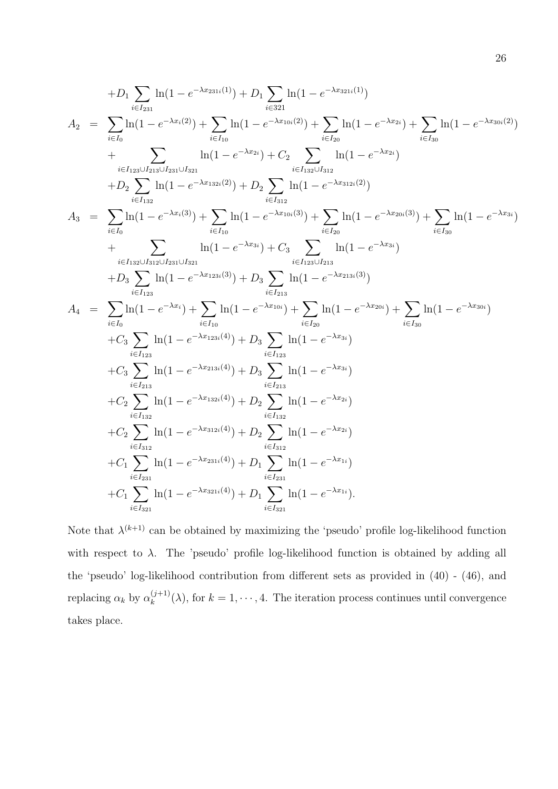$$
+D_{1}\sum_{i\in I_{231}}\ln(1-e^{-\lambda x_{231i}(1)})+D_{1}\sum_{i\in 321}\ln(1-e^{-\lambda x_{321i}(1)})
$$
\n
$$
A_{2} = \sum_{i\in I_{0}}\ln(1-e^{-\lambda x_{1}(2)})+\sum_{i\in I_{10}}\ln(1-e^{-\lambda x_{210i}(2)})+\sum_{i\in I_{20}}\ln(1-e^{-\lambda x_{21}})+\sum_{i\in I_{10}}\ln(1-e^{-\lambda x_{21}})
$$
\n
$$
+D_{2}\sum_{i\in I_{133}\cup I_{231}\cup I_{321}}\ln(1-e^{-\lambda x_{21}})+C_{2}\sum_{i\in I_{132}\cup I_{332}}\ln(1-e^{-\lambda x_{21}})
$$
\n
$$
+D_{2}\sum_{i\in I_{132}}\ln(1-e^{-\lambda x_{1}(3)})+D_{2}\sum_{i\in I_{232}}\ln(1-e^{-\lambda x_{231i}(2)})
$$
\n
$$
A_{3} = \sum_{i\in I_{0}}\ln(1-e^{-\lambda x_{1}(3)})+\sum_{i\in I_{10}}\ln(1-e^{-\lambda x_{10i}(3)})+\sum_{i\in I_{20}}\ln(1-e^{-\lambda x_{20i}(3)})+\sum_{i\in I_{20}}\ln(1-e^{-\lambda x_{20i}(3)})+\sum_{i\in I_{20}}\ln(1-e^{-\lambda x_{20i}(3)})+\sum_{i\in I_{233}}\ln(1-e^{-\lambda x_{213i}(3)})
$$
\n
$$
+D_{3}\sum_{i\in I_{133}}\ln(1-e^{-\lambda x_{133i}(3)})+D_{3}\sum_{i\in I_{213}}\ln(1-e^{-\lambda x_{23i}(3)})
$$
\n
$$
A_{4} = \sum_{i\in I_{0}}\ln(1-e^{-\lambda x_{1}})+\sum_{i\in I_{10}}\ln(1-e^{-\lambda x_{10i}})+\sum_{i\in I_{233}}\ln(1-e^{-\lambda x_{20i}})+\sum_{i\in I_{20}}\ln(1-e^{-\lambda x_{30i}})
$$
\n
$$
+C_{3}\sum_{i\in I_{23}}\ln(1-e^{-\lambda x_{13i}(4)})+D_{3}\sum_{i\
$$

Note that  $\lambda^{(k+1)}$  can be obtained by maximizing the 'pseudo' profile log-likelihood function with respect to  $\lambda$ . The 'pseudo' profile log-likelihood function is obtained by adding all the 'pseudo' log-likelihood contribution from different sets as provided in (40) - (46), and replacing  $\alpha_k$  by  $\alpha_k^{(j+1)}$  $(k+1)(\lambda)$ , for  $k = 1, \dots, 4$ . The iteration process continues until convergence takes place.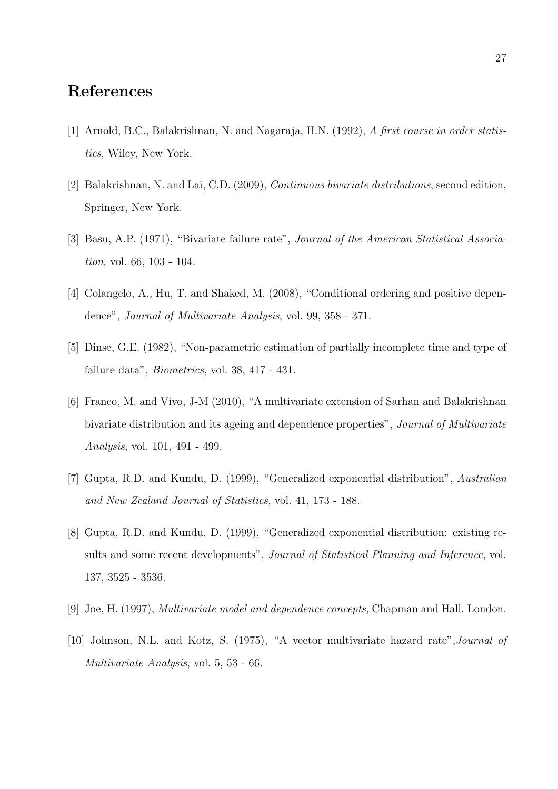# References

- [1] Arnold, B.C., Balakrishnan, N. and Nagaraja, H.N. (1992), A first course in order statistics, Wiley, New York.
- [2] Balakrishnan, N. and Lai, C.D. (2009), Continuous bivariate distributions, second edition, Springer, New York.
- [3] Basu, A.P. (1971), "Bivariate failure rate", Journal of the American Statistical Association, vol. 66, 103 - 104.
- [4] Colangelo, A., Hu, T. and Shaked, M. (2008), "Conditional ordering and positive dependence", Journal of Multivariate Analysis, vol. 99, 358 - 371.
- [5] Dinse, G.E. (1982), "Non-parametric estimation of partially incomplete time and type of failure data", Biometrics, vol. 38, 417 - 431.
- [6] Franco, M. and Vivo, J-M (2010), "A multivariate extension of Sarhan and Balakrishnan bivariate distribution and its ageing and dependence properties", Journal of Multivariate Analysis, vol. 101, 491 - 499.
- [7] Gupta, R.D. and Kundu, D. (1999), "Generalized exponential distribution", Australian and New Zealand Journal of Statistics, vol. 41, 173 - 188.
- [8] Gupta, R.D. and Kundu, D. (1999), "Generalized exponential distribution: existing results and some recent developments", *Journal of Statistical Planning and Inference*, vol. 137, 3525 - 3536.
- [9] Joe, H. (1997), Multivariate model and dependence concepts, Chapman and Hall, London.
- [10] Johnson, N.L. and Kotz, S. (1975), "A vector multivariate hazard rate",Journal of Multivariate Analysis, vol. 5, 53 - 66.